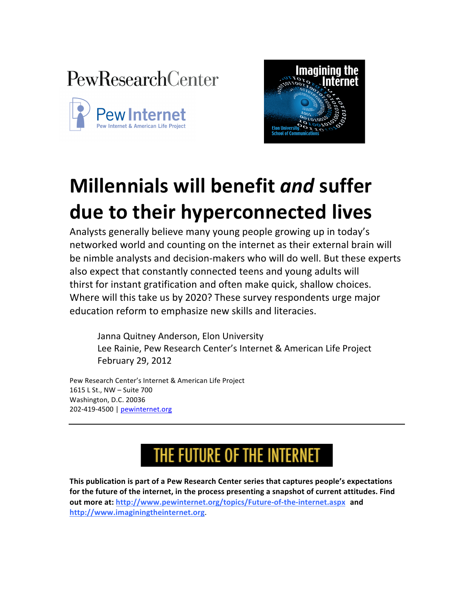## PewResearchCenter





# **Millennials will benefit** *and* **suffer** due to their hyperconnected lives

Analysts generally believe many young people growing up in today's networked world and counting on the internet as their external brain will be nimble analysts and decision-makers who will do well. But these experts also expect that constantly connected teens and young adults will thirst for instant gratification and often make quick, shallow choices. Where will this take us by 2020? These survey respondents urge major education reform to emphasize new skills and literacies.

Janna Quitney Anderson, Elon University Lee Rainie, Pew Research Center's Internet & American Life Project February 29, 2012

Pew Research Center's Internet & American Life Project 1615 L St., NW - Suite 700 Washington, D.C. 20036 202-419-4500 | pewinternet.org

## THE FUTURE OF THE INTERNET

This publication is part of a Pew Research Center series that captures people's expectations for the future of the internet, in the process presenting a snapshot of current attitudes. Find **out more at: http://www.pewinternet.org/topics/Future-of-the-internet.aspx and http://www.imaginingtheinternet.org**.(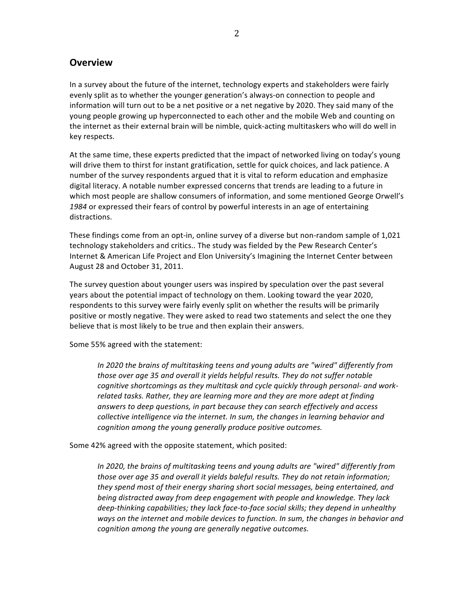#### **Overview**

In a survey about the future of the internet, technology experts and stakeholders were fairly evenly split as to whether the younger generation's always-on connection to people and information will turn out to be a net positive or a net negative by 2020. They said many of the young people growing up hyperconnected to each other and the mobile Web and counting on the internet as their external brain will be nimble, quick-acting multitaskers who will do well in key respects.

At the same time, these experts predicted that the impact of networked living on today's young will drive them to thirst for instant gratification, settle for quick choices, and lack patience. A number of the survey respondents argued that it is vital to reform education and emphasize digital literacy. A notable number expressed concerns that trends are leading to a future in which most people are shallow consumers of information, and some mentioned George Orwell's 1984 or expressed their fears of control by powerful interests in an age of entertaining distractions.

These findings come from an opt-in, online survey of a diverse but non-random sample of 1,021 technology stakeholders and critics.. The study was fielded by the Pew Research Center's Internet & American Life Project and Elon University's Imagining the Internet Center between August 28 and October 31, 2011.

The survey question about younger users was inspired by speculation over the past several years about the potential impact of technology on them. Looking toward the year 2020, respondents to this survey were fairly evenly split on whether the results will be primarily positive or mostly negative. They were asked to read two statements and select the one they believe that is most likely to be true and then explain their answers.

Some 55% agreed with the statement:

In 2020 the brains of multitasking teens and young adults are "wired" differently from those over age 35 and overall it yields helpful results. They do not suffer notable *cognitive shortcomings as they multitask and cycle quickly through personal- and workrelated'tasks.'Rather,'they'are'learning'more'and'they'are'more'adept'at'finding' answers'to'deep'questions,'in'part'because'they'can'search'effectively'and'access'* collective intelligence via the internet. In sum, the changes in learning behavior and *cognition'among'the'young'generally'produce'positive'outcomes.*

Some 42% agreed with the opposite statement, which posited:

In 2020, the brains of multitasking teens and young adults are "wired" differently from those over age 35 and overall it yields baleful results. They do not retain information; *they'spend'most'of'their energy'sharing'short'social'messages,'being'entertained,'and' being'distracted'away'from'deep'engagement'with'people'and'knowledge.'They'lack'* deep-thinking capabilities; they lack face-to-face social skills; they depend in unhealthy *ways'on'the'internet and mobile'devices'to'function.'In'sum,'the'changes'in'behavior'and' cognition'among'the'young'are'generally'negative'outcomes.*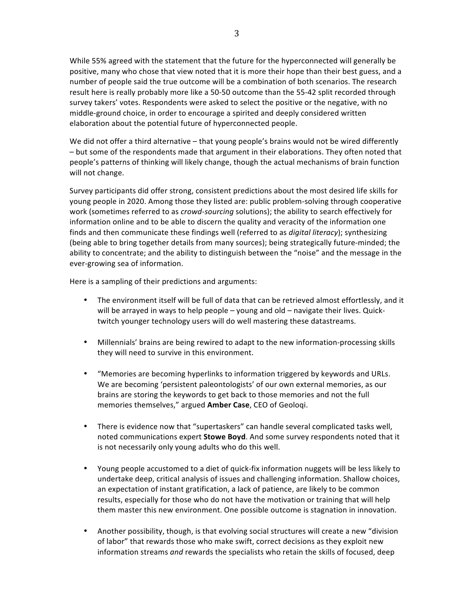While 55% agreed with the statement that the future for the hyperconnected will generally be positive, many who chose that view noted that it is more their hope than their best guess, and a number of people said the true outcome will be a combination of both scenarios. The research result here is really probably more like a 50-50 outcome than the 55-42 split recorded through survey takers' votes. Respondents were asked to select the positive or the negative, with no middle-ground choice, in order to encourage a spirited and deeply considered written elaboration about the potential future of hyperconnected people.

We did not offer a third alternative – that young people's brains would not be wired differently – but some of the respondents made that argument in their elaborations. They often noted that people's patterns of thinking will likely change, though the actual mechanisms of brain function will not change.

Survey participants did offer strong, consistent predictions about the most desired life skills for young people in 2020. Among those they listed are: public problem-solving through cooperative work (sometimes referred to as *crowd-sourcing* solutions); the ability to search effectively for information online and to be able to discern the quality and veracity of the information one finds and then communicate these findings well (referred to as *digital literacy*); synthesizing (being able to bring together details from many sources); being strategically future-minded; the ability to concentrate; and the ability to distinguish between the "noise" and the message in the ever-growing sea of information.

Here is a sampling of their predictions and arguments:

- The environment itself will be full of data that can be retrieved almost effortlessly, and it will be arrayed in ways to help people – young and old – navigate their lives. Quicktwitch younger technology users will do well mastering these datastreams.
- Millennials' brains are being rewired to adapt to the new information-processing skills they will need to survive in this environment.
- "Memories are becoming hyperlinks to information triggered by keywords and URLs. We are becoming 'persistent paleontologists' of our own external memories, as our brains are storing the keywords to get back to those memories and not the full memories themselves," argued Amber Case, CEO of Geoloqi.
- There is evidence now that "supertaskers" can handle several complicated tasks well, noted communications expert **Stowe Boyd**. And some survey respondents noted that it is not necessarily only young adults who do this well.
- Young people accustomed to a diet of quick-fix information nuggets will be less likely to undertake deep, critical analysis of issues and challenging information. Shallow choices, an expectation of instant gratification, a lack of patience, are likely to be common results, especially for those who do not have the motivation or training that will help them master this new environment. One possible outcome is stagnation in innovation.
- Another possibility, though, is that evolving social structures will create a new "division of labor" that rewards those who make swift, correct decisions as they exploit new information streams *and* rewards the specialists who retain the skills of focused, deep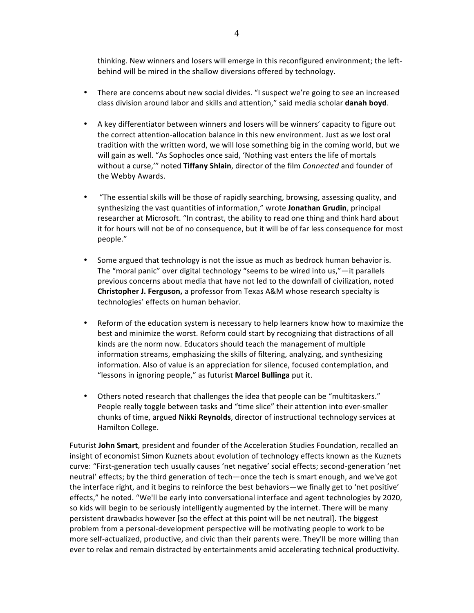thinking. New winners and losers will emerge in this reconfigured environment; the leftbehind will be mired in the shallow diversions offered by technology.

- There are concerns about new social divides. "I suspect we're going to see an increased class division around labor and skills and attention," said media scholar **danah boyd**.
- A key differentiator between winners and losers will be winners' capacity to figure out the correct attention-allocation balance in this new environment. Just as we lost oral tradition with the written word, we will lose something big in the coming world, but we will gain as well. "As Sophocles once said, 'Nothing vast enters the life of mortals without a curse,'" noted Tiffany Shlain, director of the film *Connected* and founder of the Webby Awards.
- "The essential skills will be those of rapidly searching, browsing, assessing quality, and synthesizing the vast quantities of information," wrote Jonathan Grudin, principal researcher at Microsoft. "In contrast, the ability to read one thing and think hard about it for hours will not be of no consequence, but it will be of far less consequence for most people."
- Some argued that technology is not the issue as much as bedrock human behavior is. The "moral panic" over digital technology "seems to be wired into us,"—it parallels previous concerns about media that have not led to the downfall of civilization, noted **Christopher J. Ferguson,** a professor from Texas A&M whose research specialty is technologies' effects on human behavior.
- Reform of the education system is necessary to help learners know how to maximize the best and minimize the worst. Reform could start by recognizing that distractions of all kinds are the norm now. Educators should teach the management of multiple information streams, emphasizing the skills of filtering, analyzing, and synthesizing information. Also of value is an appreciation for silence, focused contemplation, and "lessons in ignoring people," as futurist **Marcel Bullinga** put it.
- Others noted research that challenges the idea that people can be "multitaskers." People really toggle between tasks and "time slice" their attention into ever-smaller chunks of time, argued Nikki Reynolds, director of instructional technology services at Hamilton College.

Futurist John Smart, president and founder of the Acceleration Studies Foundation, recalled an insight of economist Simon Kuznets about evolution of technology effects known as the Kuznets curve: "First-generation tech usually causes 'net negative' social effects; second-generation 'net neutral' effects; by the third generation of tech—once the tech is smart enough, and we've got the interface right, and it begins to reinforce the best behaviors—we finally get to 'net positive' effects," he noted. "We'll be early into conversational interface and agent technologies by 2020, so kids will begin to be seriously intelligently augmented by the internet. There will be many persistent drawbacks however [so the effect at this point will be net neutral]. The biggest problem from a personal-development perspective will be motivating people to work to be more self-actualized, productive, and civic than their parents were. They'll be more willing than ever to relax and remain distracted by entertainments amid accelerating technical productivity.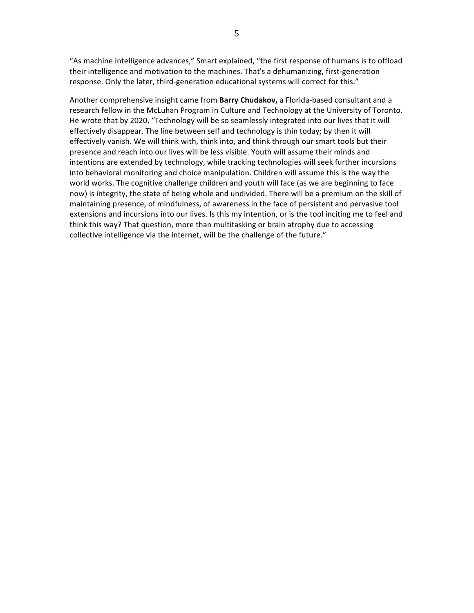"As machine intelligence advances," Smart explained, "the first response of humans is to offload their intelligence and motivation to the machines. That's a dehumanizing, first-generation response. Only the later, third-generation educational systems will correct for this."

Another comprehensive insight came from **Barry Chudakov**, a Florida-based consultant and a research fellow in the McLuhan Program in Culture and Technology at the University of Toronto. He wrote that by 2020, "Technology will be so seamlessly integrated into our lives that it will effectively disappear. The line between self and technology is thin today; by then it will effectively vanish. We will think with, think into, and think through our smart tools but their presence and reach into our lives will be less visible. Youth will assume their minds and intentions are extended by technology, while tracking technologies will seek further incursions into behavioral monitoring and choice manipulation. Children will assume this is the way the world works. The cognitive challenge children and youth will face (as we are beginning to face now) is integrity, the state of being whole and undivided. There will be a premium on the skill of maintaining presence, of mindfulness, of awareness in the face of persistent and pervasive tool extensions and incursions into our lives. Is this my intention, or is the tool inciting me to feel and think this way? That question, more than multitasking or brain atrophy due to accessing collective intelligence via the internet, will be the challenge of the future."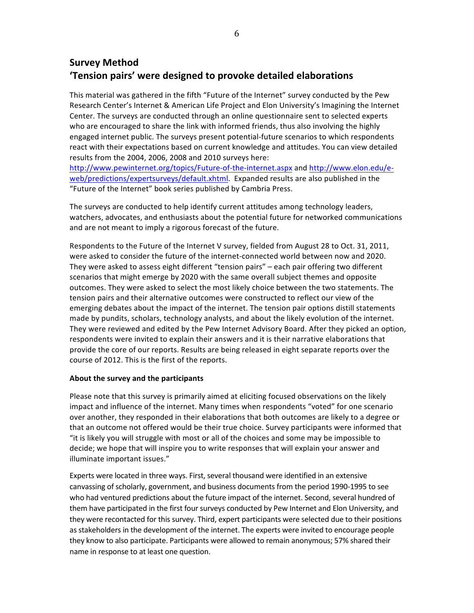## **Survey!Method!** 'Tension pairs' were designed to provoke detailed elaborations

This material was gathered in the fifth "Future of the Internet" survey conducted by the Pew Research Center's Internet & American Life Project and Elon University's Imagining the Internet Center. The surveys are conducted through an online questionnaire sent to selected experts who are encouraged to share the link with informed friends, thus also involving the highly engaged internet public. The surveys present potential-future scenarios to which respondents react with their expectations based on current knowledge and attitudes. You can view detailed results from the 2004, 2006, 2008 and 2010 surveys here: http://www.pewinternet.org/topics/Future-of-the-internet.aspx and http://www.elon.edu/eweb/predictions/expertsurveys/default.xhtml. Expanded results are also published in the

"Future of the Internet" book series published by Cambria Press.

The surveys are conducted to help identify current attitudes among technology leaders, watchers, advocates, and enthusiasts about the potential future for networked communications and are not meant to imply a rigorous forecast of the future.

Respondents to the Future of the Internet V survey, fielded from August 28 to Oct. 31, 2011, were asked to consider the future of the internet-connected world between now and 2020. They were asked to assess eight different "tension pairs" – each pair offering two different scenarios that might emerge by 2020 with the same overall subject themes and opposite outcomes. They were asked to select the most likely choice between the two statements. The tension pairs and their alternative outcomes were constructed to reflect our view of the emerging debates about the impact of the internet. The tension pair options distill statements made by pundits, scholars, technology analysts, and about the likely evolution of the internet. They were reviewed and edited by the Pew Internet Advisory Board. After they picked an option, respondents were invited to explain their answers and it is their narrative elaborations that provide the core of our reports. Results are being released in eight separate reports over the course of 2012. This is the first of the reports.

#### About the survey and the participants

Please note that this survey is primarily aimed at eliciting focused observations on the likely impact and influence of the internet. Many times when respondents "voted" for one scenario over another, they responded in their elaborations that both outcomes are likely to a degree or that an outcome not offered would be their true choice. Survey participants were informed that "it is likely you will struggle with most or all of the choices and some may be impossible to decide; we hope that will inspire you to write responses that will explain your answer and illuminate important issues."

Experts were located in three ways. First, several thousand were identified in an extensive canvassing of scholarly, government, and business documents from the period 1990-1995 to see who had ventured predictions about the future impact of the internet. Second, several hundred of them have participated in the first four surveys conducted by Pew Internet and Elon University, and they were recontacted for this survey. Third, expert participants were selected due to their positions as stakeholders in the development of the internet. The experts were invited to encourage people they know to also participate. Participants were allowed to remain anonymous; 57% shared their name in response to at least one question.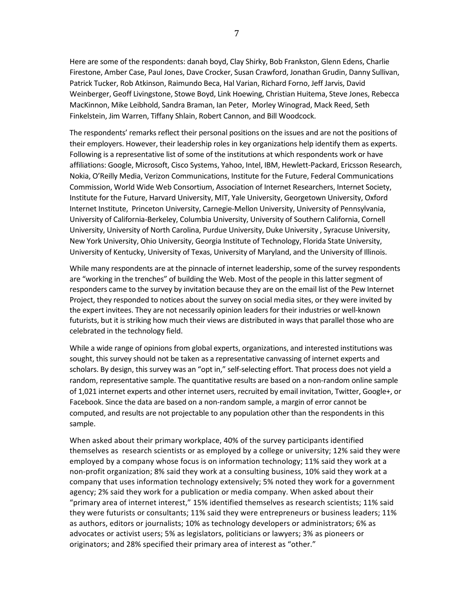Here are some of the respondents: danah boyd, Clay Shirky, Bob Frankston, Glenn Edens, Charlie Firestone, Amber Case, Paul Jones, Dave Crocker, Susan Crawford, Jonathan Grudin, Danny Sullivan, Patrick Tucker, Rob Atkinson, Raimundo Beca, Hal Varian, Richard Forno, Jeff Jarvis, David Weinberger, Geoff Livingstone, Stowe Boyd, Link Hoewing, Christian Huitema, Steve Jones, Rebecca MacKinnon, Mike Leibhold, Sandra Braman, Ian Peter, Morley Winograd, Mack Reed, Seth Finkelstein, Jim Warren, Tiffany Shlain, Robert Cannon, and Bill Woodcock.

The respondents' remarks reflect their personal positions on the issues and are not the positions of their employers. However, their leadership roles in key organizations help identify them as experts. Following is a representative list of some of the institutions at which respondents work or have affiliations: Google, Microsoft, Cisco Systems, Yahoo, Intel, IBM, Hewlett-Packard, Ericsson Research, Nokia, O'Reilly Media, Verizon Communications, Institute for the Future, Federal Communications Commission, World Wide Web Consortium, Association of Internet Researchers, Internet Society, Institute for the Future, Harvard University, MIT, Yale University, Georgetown University, Oxford Internet Institute, Princeton University, Carnegie-Mellon University, University of Pennsylvania, University of California-Berkeley, Columbia University, University of Southern California, Cornell University, University of North Carolina, Purdue University, Duke University, Syracuse University, New York University, Ohio University, Georgia Institute of Technology, Florida State University, University of Kentucky, University of Texas, University of Maryland, and the University of Illinois.

While many respondents are at the pinnacle of internet leadership, some of the survey respondents are "working in the trenches" of building the Web. Most of the people in this latter segment of responders came to the survey by invitation because they are on the email list of the Pew Internet Project, they responded to notices about the survey on social media sites, or they were invited by the expert invitees. They are not necessarily opinion leaders for their industries or well-known futurists, but it is striking how much their views are distributed in ways that parallel those who are celebrated in the technology field.

While a wide range of opinions from global experts, organizations, and interested institutions was sought, this survey should not be taken as a representative canvassing of internet experts and scholars. By design, this survey was an "opt in," self-selecting effort. That process does not yield a random, representative sample. The quantitative results are based on a non-random online sample of 1,021 internet experts and other internet users, recruited by email invitation, Twitter, Google+, or Facebook. Since the data are based on a non-random sample, a margin of error cannot be computed, and results are not projectable to any population other than the respondents in this sample.

When asked about their primary workplace, 40% of the survey participants identified themselves as research scientists or as employed by a college or university; 12% said they were employed by a company whose focus is on information technology; 11% said they work at a non-profit organization; 8% said they work at a consulting business, 10% said they work at a company that uses information technology extensively; 5% noted they work for a government agency; 2% said they work for a publication or media company. When asked about their "primary area of internet interest," 15% identified themselves as research scientists; 11% said they were futurists or consultants; 11% said they were entrepreneurs or business leaders; 11% as authors, editors or journalists; 10% as technology developers or administrators; 6% as advocates or activist users; 5% as legislators, politicians or lawyers; 3% as pioneers or originators; and 28% specified their primary area of interest as "other."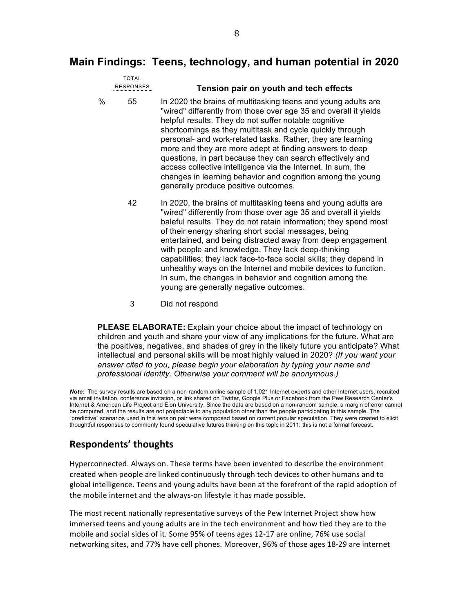#### **Main Findings: Teens, technology, and human potential in 2020**

|   | <b>TOTAL</b><br><b>RESPONSES</b> | Tension pair on youth and tech effects                                                                                                                                                                                                                                                                                                                                                                                                                                                                                                                                                                                           |
|---|----------------------------------|----------------------------------------------------------------------------------------------------------------------------------------------------------------------------------------------------------------------------------------------------------------------------------------------------------------------------------------------------------------------------------------------------------------------------------------------------------------------------------------------------------------------------------------------------------------------------------------------------------------------------------|
| % | 55                               | In 2020 the brains of multitasking teens and young adults are<br>"wired" differently from those over age 35 and overall it yields<br>helpful results. They do not suffer notable cognitive<br>shortcomings as they multitask and cycle quickly through<br>personal- and work-related tasks. Rather, they are learning<br>more and they are more adept at finding answers to deep<br>questions, in part because they can search effectively and<br>access collective intelligence via the Internet. In sum, the<br>changes in learning behavior and cognition among the young<br>generally produce positive outcomes.             |
|   | 42                               | In 2020, the brains of multitasking teens and young adults are<br>"wired" differently from those over age 35 and overall it yields<br>baleful results. They do not retain information; they spend most<br>of their energy sharing short social messages, being<br>entertained, and being distracted away from deep engagement<br>with people and knowledge. They lack deep-thinking<br>capabilities; they lack face-to-face social skills; they depend in<br>unhealthy ways on the Internet and mobile devices to function.<br>In sum, the changes in behavior and cognition among the<br>young are generally negative outcomes. |

3 Did not respond

**PLEASE ELABORATE:** Explain your choice about the impact of technology on children and youth and share your view of any implications for the future. What are the positives, negatives, and shades of grey in the likely future you anticipate? What intellectual and personal skills will be most highly valued in 2020? *(If you want your answer cited to you, please begin your elaboration by typing your name and professional identity. Otherwise your comment will be anonymous.)*

*Note:* The survey results are based on a non-random online sample of 1,021 Internet experts and other Internet users, recruited via email invitation, conference invitation, or link shared on Twitter, Google Plus or Facebook from the Pew Research Center's Internet & American Life Project and Elon University. Since the data are based on a non-random sample, a margin of error cannot be computed, and the results are not projectable to any population other than the people participating in this sample. The "predictive" scenarios used in this tension pair were composed based on current popular speculation. They were created to elicit thoughtful responses to commonly found speculative futures thinking on this topic in 2011; this is not a formal forecast.

#### **Respondents'!thoughts**

Hyperconnected. Always on. These terms have been invented to describe the environment created when people are linked continuously through tech devices to other humans and to global intelligence. Teens and young adults have been at the forefront of the rapid adoption of the mobile internet and the always-on lifestyle it has made possible.

The most recent nationally representative surveys of the Pew Internet Project show how immersed teens and young adults are in the tech environment and how tied they are to the mobile and social sides of it. Some 95% of teens ages 12-17 are online, 76% use social networking sites, and 77% have cell phones. Moreover, 96% of those ages 18-29 are internet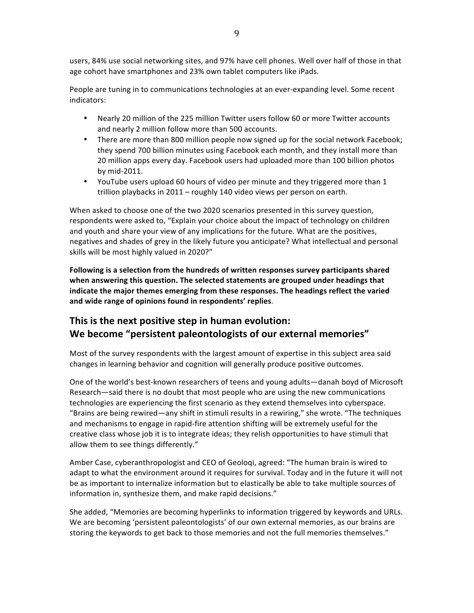users, 84% use social networking sites, and 97% have cell phones. Well over half of those in that age cohort have smartphones and 23% own tablet computers like iPads.

People are tuning in to communications technologies at an ever-expanding level. Some recent indicators:

- Nearly 20 million of the 225 million Twitter users follow 60 or more Twitter accounts and nearly 2 million follow more than 500 accounts.
- There are more than 800 million people now signed up for the social network Facebook; they spend 700 billion minutes using Facebook each month, and they install more than 20 million apps every day. Facebook users had uploaded more than 100 billion photos by mid-2011.
- YouTube users upload 60 hours of video per minute and they triggered more than  $1$ trillion playbacks in 2011 - roughly 140 video views per person on earth.

When asked to choose one of the two 2020 scenarios presented in this survey question, respondents were asked to, "Explain your choice about the impact of technology on children and youth and share your view of any implications for the future. What are the positives, negatives and shades of grey in the likely future you anticipate? What intellectual and personal skills will be most highly valued in 2020?"

Following is a selection from the hundreds of written responses survey participants shared when answering this question. The selected statements are grouped under headings that **indicate the major themes emerging from these responses. The headings reflect the varied** and wide range of opinions found in respondents' replies.

## **This is the next positive step in human evolution: We become "persistent paleontologists of our external memories"**

Most of the survey respondents with the largest amount of expertise in this subject area said changes in learning behavior and cognition will generally produce positive outcomes.

One of the world's best-known researchers of teens and young adults—danah boyd of Microsoft Research—said there is no doubt that most people who are using the new communications technologies are experiencing the first scenario as they extend themselves into cyberspace. "Brains are being rewired—any shift in stimuli results in a rewiring," she wrote. "The techniques and mechanisms to engage in rapid-fire attention shifting will be extremely useful for the creative class whose job it is to integrate ideas; they relish opportunities to have stimuli that allow them to see things differently."

Amber Case, cyberanthropologist and CEO of Geoloqi, agreed: "The human brain is wired to adapt to what the environment around it requires for survival. Today and in the future it will not be as important to internalize information but to elastically be able to take multiple sources of information in, synthesize them, and make rapid decisions."

She added, "Memories are becoming hyperlinks to information triggered by keywords and URLs. We are becoming 'persistent paleontologists' of our own external memories, as our brains are storing the keywords to get back to those memories and not the full memories themselves."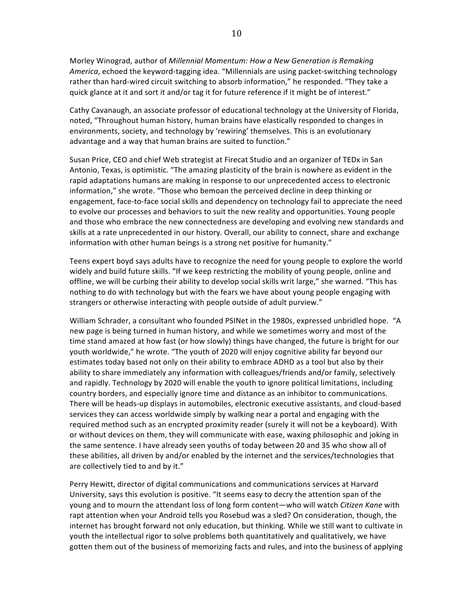Morley Winograd, author of *Millennial Momentum: How a New Generation is Remaking* America, echoed the keyword-tagging idea. "Millennials are using packet-switching technology rather than hard-wired circuit switching to absorb information," he responded. "They take a quick glance at it and sort it and/or tag it for future reference if it might be of interest."

Cathy Cavanaugh, an associate professor of educational technology at the University of Florida, noted, "Throughout human history, human brains have elastically responded to changes in environments, society, and technology by 'rewiring' themselves. This is an evolutionary advantage and a way that human brains are suited to function."

Susan Price, CEO and chief Web strategist at Firecat Studio and an organizer of TEDx in San Antonio, Texas, is optimistic. "The amazing plasticity of the brain is nowhere as evident in the rapid adaptations humans are making in response to our unprecedented access to electronic information," she wrote. "Those who bemoan the perceived decline in deep thinking or engagement, face-to-face social skills and dependency on technology fail to appreciate the need to evolve our processes and behaviors to suit the new reality and opportunities. Young people and those who embrace the new connectedness are developing and evolving new standards and skills at a rate unprecedented in our history. Overall, our ability to connect, share and exchange information with other human beings is a strong net positive for humanity."

Teens expert boyd says adults have to recognize the need for young people to explore the world widely and build future skills. "If we keep restricting the mobility of young people, online and offline, we will be curbing their ability to develop social skills writ large," she warned. "This has nothing to do with technology but with the fears we have about young people engaging with strangers or otherwise interacting with people outside of adult purview."

William Schrader, a consultant who founded PSINet in the 1980s, expressed unbridled hope. "A new page is being turned in human history, and while we sometimes worry and most of the time stand amazed at how fast (or how slowly) things have changed, the future is bright for our youth worldwide," he wrote. "The youth of 2020 will enjoy cognitive ability far beyond our estimates today based not only on their ability to embrace ADHD as a tool but also by their ability to share immediately any information with colleagues/friends and/or family, selectively and rapidly. Technology by 2020 will enable the youth to ignore political limitations, including country borders, and especially ignore time and distance as an inhibitor to communications. There will be heads-up displays in automobiles, electronic executive assistants, and cloud-based services they can access worldwide simply by walking near a portal and engaging with the required method such as an encrypted proximity reader (surely it will not be a keyboard). With or without devices on them, they will communicate with ease, waxing philosophic and joking in the same sentence. I have already seen youths of today between 20 and 35 who show all of these abilities, all driven by and/or enabled by the internet and the services/technologies that are collectively tied to and by it."

Perry Hewitt, director of digital communications and communications services at Harvard University, says this evolution is positive. "It seems easy to decry the attention span of the young and to mourn the attendant loss of long form content—who will watch *Citizen Kane* with rapt attention when your Android tells you Rosebud was a sled? On consideration, though, the internet has brought forward not only education, but thinking. While we still want to cultivate in youth the intellectual rigor to solve problems both quantitatively and qualitatively, we have gotten them out of the business of memorizing facts and rules, and into the business of applying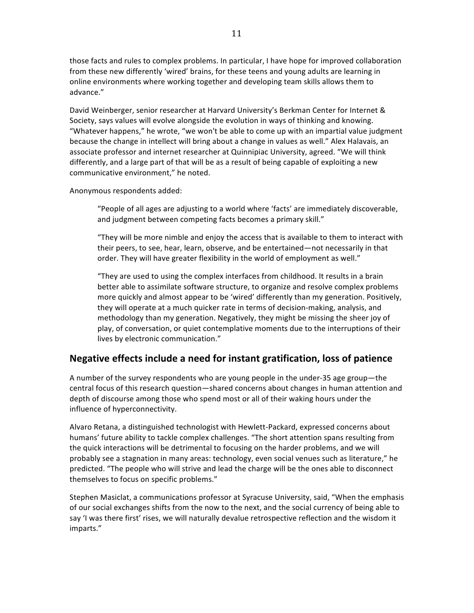those facts and rules to complex problems. In particular, I have hope for improved collaboration from these new differently 'wired' brains, for these teens and young adults are learning in online environments where working together and developing team skills allows them to advance."

David Weinberger, senior researcher at Harvard University's Berkman Center for Internet & Society, says values will evolve alongside the evolution in ways of thinking and knowing. "Whatever happens," he wrote, "we won't be able to come up with an impartial value judgment because the change in intellect will bring about a change in values as well." Alex Halavais, an associate professor and internet researcher at Quinnipiac University, agreed. "We will think differently, and a large part of that will be as a result of being capable of exploiting a new communicative environment," he noted.

Anonymous respondents added:

"People of all ages are adjusting to a world where 'facts' are immediately discoverable, and judgment between competing facts becomes a primary skill."

"They will be more nimble and enjoy the access that is available to them to interact with their peers, to see, hear, learn, observe, and be entertained—not necessarily in that order. They will have greater flexibility in the world of employment as well."

"They are used to using the complex interfaces from childhood. It results in a brain better able to assimilate software structure, to organize and resolve complex problems more quickly and almost appear to be 'wired' differently than my generation. Positively, they will operate at a much quicker rate in terms of decision-making, analysis, and methodology than my generation. Negatively, they might be missing the sheer joy of play, of conversation, or quiet contemplative moments due to the interruptions of their lives by electronic communication."

#### Negative effects include a need for instant gratification, loss of patience

A number of the survey respondents who are young people in the under-35 age group—the central focus of this research question—shared concerns about changes in human attention and depth of discourse among those who spend most or all of their waking hours under the influence of hyperconnectivity.

Alvaro Retana, a distinguished technologist with Hewlett-Packard, expressed concerns about humans' future ability to tackle complex challenges. "The short attention spans resulting from the quick interactions will be detrimental to focusing on the harder problems, and we will probably see a stagnation in many areas: technology, even social venues such as literature," he predicted. "The people who will strive and lead the charge will be the ones able to disconnect themselves to focus on specific problems."

Stephen Masiclat, a communications professor at Syracuse University, said, "When the emphasis of our social exchanges shifts from the now to the next, and the social currency of being able to say 'I was there first' rises, we will naturally devalue retrospective reflection and the wisdom it imparts."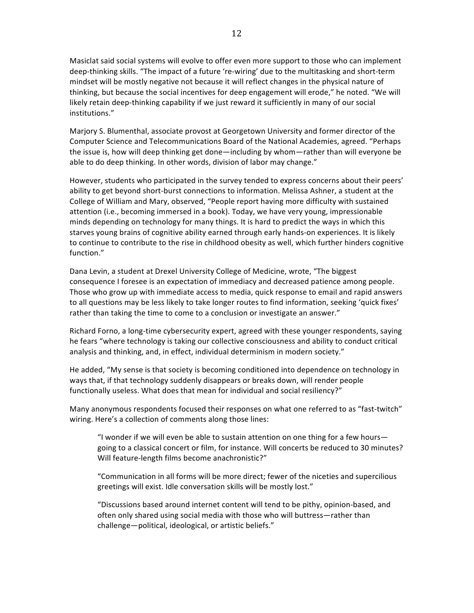Masiclat said social systems will evolve to offer even more support to those who can implement deep-thinking skills. "The impact of a future 're-wiring' due to the multitasking and short-term mindset will be mostly negative not because it will reflect changes in the physical nature of thinking, but because the social incentives for deep engagement will erode," he noted. "We will likely retain deep-thinking capability if we just reward it sufficiently in many of our social institutions."

Marjory S. Blumenthal, associate provost at Georgetown University and former director of the Computer Science and Telecommunications Board of the National Academies, agreed. "Perhaps the issue is, how will deep thinking get done—including by whom—rather than will everyone be able to do deep thinking. In other words, division of labor may change."

However, students who participated in the survey tended to express concerns about their peers' ability to get beyond short-burst connections to information. Melissa Ashner, a student at the College of William and Mary, observed, "People report having more difficulty with sustained attention (i.e., becoming immersed in a book). Today, we have very young, impressionable minds depending on technology for many things. It is hard to predict the ways in which this starves young brains of cognitive ability earned through early hands-on experiences. It is likely to continue to contribute to the rise in childhood obesity as well, which further hinders cognitive function."

Dana Levin, a student at Drexel University College of Medicine, wrote, "The biggest consequence I foresee is an expectation of immediacy and decreased patience among people. Those who grow up with immediate access to media, quick response to email and rapid answers to all questions may be less likely to take longer routes to find information, seeking 'quick fixes' rather than taking the time to come to a conclusion or investigate an answer."

Richard Forno, a long-time cybersecurity expert, agreed with these younger respondents, saying he fears "where technology is taking our collective consciousness and ability to conduct critical analysis and thinking, and, in effect, individual determinism in modern society."

He added, "My sense is that society is becoming conditioned into dependence on technology in ways that, if that technology suddenly disappears or breaks down, will render people functionally useless. What does that mean for individual and social resiliency?"

Many anonymous respondents focused their responses on what one referred to as "fast-twitch" wiring. Here's a collection of comments along those lines:

"I wonder if we will even be able to sustain attention on one thing for a few hours going to a classical concert or film, for instance. Will concerts be reduced to 30 minutes? Will feature-length films become anachronistic?"

"Communication in all forms will be more direct; fewer of the niceties and supercilious greetings will exist. Idle conversation skills will be mostly lost."

"Discussions based around internet content will tend to be pithy, opinion-based, and often only shared using social media with those who will buttress—rather than challenge—political, ideological, or artistic beliefs."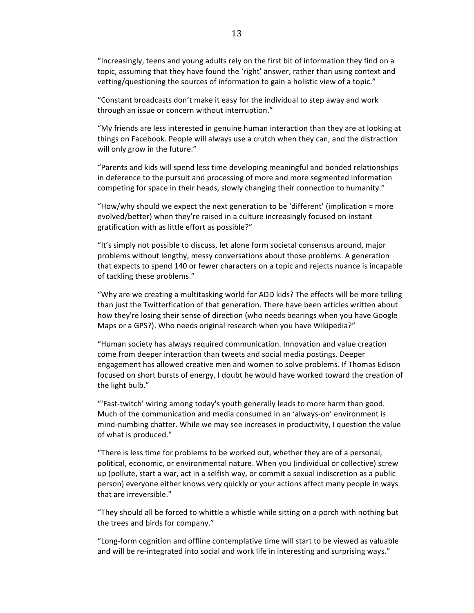"Increasingly, teens and young adults rely on the first bit of information they find on a topic, assuming that they have found the 'right' answer, rather than using context and vetting/questioning the sources of information to gain a holistic view of a topic."

"Constant broadcasts don't make it easy for the individual to step away and work through an issue or concern without interruption."

"My friends are less interested in genuine human interaction than they are at looking at things on Facebook. People will always use a crutch when they can, and the distraction will only grow in the future."

"Parents and kids will spend less time developing meaningful and bonded relationships in deference to the pursuit and processing of more and more segmented information competing for space in their heads, slowly changing their connection to humanity."

"How/why should we expect the next generation to be 'different' (implication = more) evolved/better) when they're raised in a culture increasingly focused on instant gratification with as little effort as possible?"

"It's simply not possible to discuss, let alone form societal consensus around, major problems without lengthy, messy conversations about those problems. A generation that expects to spend 140 or fewer characters on a topic and rejects nuance is incapable of tackling these problems."

"Why are we creating a multitasking world for ADD kids? The effects will be more telling than just the Twitterfication of that generation. There have been articles written about how they're losing their sense of direction (who needs bearings when you have Google Maps or a GPS?). Who needs original research when you have Wikipedia?"

"Human society has always required communication. Innovation and value creation come from deeper interaction than tweets and social media postings. Deeper engagement has allowed creative men and women to solve problems. If Thomas Edison focused on short bursts of energy, I doubt he would have worked toward the creation of the light bulb."

"'Fast-twitch' wiring among today's youth generally leads to more harm than good. Much of the communication and media consumed in an 'always-on' environment is mind-numbing chatter. While we may see increases in productivity, I question the value of what is produced."

"There is less time for problems to be worked out, whether they are of a personal, political, economic, or environmental nature. When you (individual or collective) screw up (pollute, start a war, act in a selfish way, or commit a sexual indiscretion as a public person) everyone either knows very quickly or your actions affect many people in ways that are irreversible."

"They should all be forced to whittle a whistle while sitting on a porch with nothing but the trees and birds for company."

"Long-form cognition and offline contemplative time will start to be viewed as valuable and will be re-integrated into social and work life in interesting and surprising ways."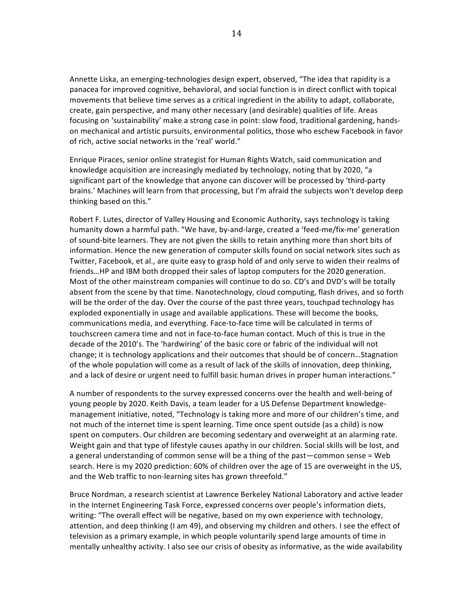Annette Liska, an emerging-technologies design expert, observed, "The idea that rapidity is a panacea for improved cognitive, behavioral, and social function is in direct conflict with topical movements that believe time serves as a critical ingredient in the ability to adapt, collaborate, create, gain perspective, and many other necessary (and desirable) qualities of life. Areas focusing on 'sustainability' make a strong case in point: slow food, traditional gardening, handson mechanical and artistic pursuits, environmental politics, those who eschew Facebook in favor of rich, active social networks in the 'real' world."

Enrique Piraces, senior online strategist for Human Rights Watch, said communication and knowledge acquisition are increasingly mediated by technology, noting that by 2020, "a significant part of the knowledge that anyone can discover will be processed by 'third-party brains.' Machines will learn from that processing, but I'm afraid the subjects won't develop deep thinking based on this."

Robert F. Lutes, director of Valley Housing and Economic Authority, says technology is taking humanity down a harmful path. "We have, by-and-large, created a 'feed-me/fix-me' generation of sound-bite learners. They are not given the skills to retain anything more than short bits of information. Hence the new generation of computer skills found on social network sites such as Twitter, Facebook, et al., are quite easy to grasp hold of and only serve to widen their realms of friends...HP and IBM both dropped their sales of laptop computers for the 2020 generation. Most of the other mainstream companies will continue to do so. CD's and DVD's will be totally absent from the scene by that time. Nanotechnology, cloud computing, flash drives, and so forth will be the order of the day. Over the course of the past three years, touchpad technology has exploded exponentially in usage and available applications. These will become the books, communications media, and everything. Face-to-face time will be calculated in terms of touchscreen camera time and not in face-to-face human contact. Much of this is true in the decade of the 2010's. The 'hardwiring' of the basic core or fabric of the individual will not change; it is technology applications and their outcomes that should be of concern...Stagnation of the whole population will come as a result of lack of the skills of innovation, deep thinking, and a lack of desire or urgent need to fulfill basic human drives in proper human interactions."

A number of respondents to the survey expressed concerns over the health and well-being of young people by 2020. Keith Davis, a team leader for a US Defense Department knowledgemanagement initiative, noted, "Technology is taking more and more of our children's time, and not much of the internet time is spent learning. Time once spent outside (as a child) is now spent on computers. Our children are becoming sedentary and overweight at an alarming rate. Weight gain and that type of lifestyle causes apathy in our children. Social skills will be lost, and a general understanding of common sense will be a thing of the past-common sense = Web search. Here is my 2020 prediction: 60% of children over the age of 15 are overweight in the US, and the Web traffic to non-learning sites has grown threefold."

Bruce Nordman, a research scientist at Lawrence Berkeley National Laboratory and active leader in the Internet Engineering Task Force, expressed concerns over people's information diets, writing: "The overall effect will be negative, based on my own experience with technology, attention, and deep thinking (I am 49), and observing my children and others. I see the effect of television as a primary example, in which people voluntarily spend large amounts of time in mentally unhealthy activity. I also see our crisis of obesity as informative, as the wide availability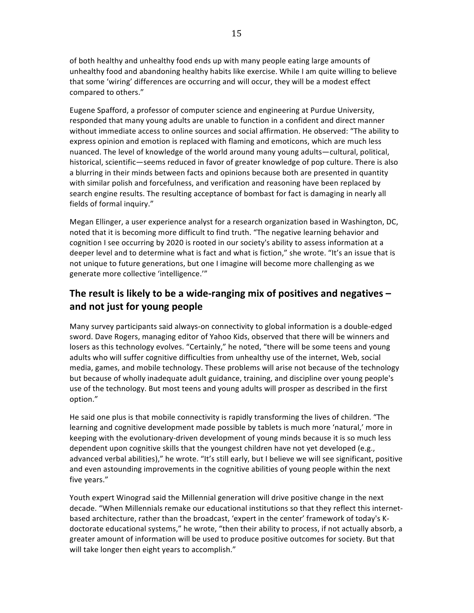of both healthy and unhealthy food ends up with many people eating large amounts of unhealthy food and abandoning healthy habits like exercise. While I am quite willing to believe that some 'wiring' differences are occurring and will occur, they will be a modest effect compared to others."

Eugene Spafford, a professor of computer science and engineering at Purdue University, responded that many young adults are unable to function in a confident and direct manner without immediate access to online sources and social affirmation. He observed: "The ability to express opinion and emotion is replaced with flaming and emoticons, which are much less nuanced. The level of knowledge of the world around many young adults—cultural, political, historical, scientific—seems reduced in favor of greater knowledge of pop culture. There is also a blurring in their minds between facts and opinions because both are presented in quantity with similar polish and forcefulness, and verification and reasoning have been replaced by search engine results. The resulting acceptance of bombast for fact is damaging in nearly all fields of formal inquiry."

Megan Ellinger, a user experience analyst for a research organization based in Washington, DC, noted that it is becoming more difficult to find truth. "The negative learning behavior and cognition I see occurring by 2020 is rooted in our society's ability to assess information at a deeper level and to determine what is fact and what is fiction," she wrote. "It's an issue that is not unique to future generations, but one I imagine will become more challenging as we generate more collective 'intelligence.'"

## The result is likely to be a wide-ranging mix of positives and negatives – and not just for young people

Many survey participants said always-on connectivity to global information is a double-edged sword. Dave Rogers, managing editor of Yahoo Kids, observed that there will be winners and losers as this technology evolves. "Certainly," he noted, "there will be some teens and young adults who will suffer cognitive difficulties from unhealthy use of the internet, Web, social media, games, and mobile technology. These problems will arise not because of the technology but because of wholly inadequate adult guidance, training, and discipline over young people's use of the technology. But most teens and young adults will prosper as described in the first option."

He said one plus is that mobile connectivity is rapidly transforming the lives of children. "The learning and cognitive development made possible by tablets is much more 'natural,' more in keeping with the evolutionary-driven development of young minds because it is so much less dependent upon cognitive skills that the youngest children have not yet developed (e.g., advanced verbal abilities)," he wrote. "It's still early, but I believe we will see significant, positive and even astounding improvements in the cognitive abilities of young people within the next five years."

Youth expert Winograd said the Millennial generation will drive positive change in the next decade. "When Millennials remake our educational institutions so that they reflect this internetbased architecture, rather than the broadcast, 'expert in the center' framework of today's Kdoctorate educational systems," he wrote, "then their ability to process, if not actually absorb, a greater amount of information will be used to produce positive outcomes for society. But that will take longer then eight years to accomplish."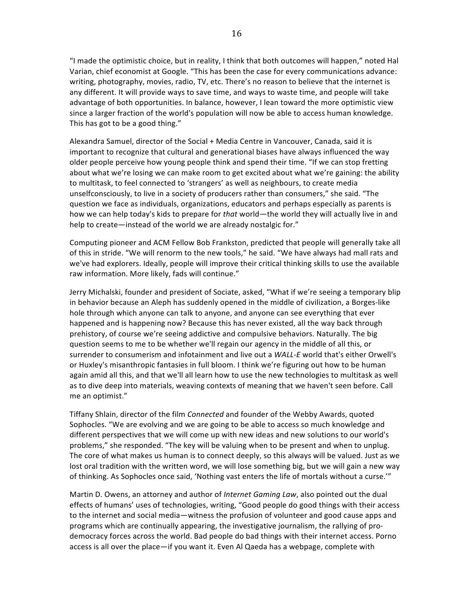"I made the optimistic choice, but in reality, I think that both outcomes will happen," noted Hal Varian, chief economist at Google. "This has been the case for every communications advance: writing, photography, movies, radio, TV, etc. There's no reason to believe that the internet is any different. It will provide ways to save time, and ways to waste time, and people will take advantage of both opportunities. In balance, however, I lean toward the more optimistic view since a larger fraction of the world's population will now be able to access human knowledge. This has got to be a good thing."

Alexandra Samuel, director of the Social + Media Centre in Vancouver, Canada, said it is important to recognize that cultural and generational biases have always influenced the way older people perceive how young people think and spend their time. "If we can stop fretting about what we're losing we can make room to get excited about what we're gaining: the ability to multitask, to feel connected to 'strangers' as well as neighbours, to create media unselfconsciously, to live in a society of producers rather than consumers," she said. "The question we face as individuals, organizations, educators and perhaps especially as parents is how we can help today's kids to prepare for *that* world—the world they will actually live in and help to create—instead of the world we are already nostalgic for."

Computing pioneer and ACM Fellow Bob Frankston, predicted that people will generally take all of this in stride. "We will renorm to the new tools," he said. "We have always had mall rats and we've had explorers. Ideally, people will improve their critical thinking skills to use the available raw information. More likely, fads will continue."

Jerry Michalski, founder and president of Sociate, asked, "What if we're seeing a temporary blip in behavior because an Aleph has suddenly opened in the middle of civilization, a Borges-like hole through which anyone can talk to anyone, and anyone can see everything that ever happened and is happening now? Because this has never existed, all the way back through prehistory, of course we're seeing addictive and compulsive behaviors. Naturally. The big question seems to me to be whether we'll regain our agency in the middle of all this, or surrender to consumerism and infotainment and live out a *WALL-E* world that's either Orwell's or Huxley's misanthropic fantasies in full bloom. I think we're figuring out how to be human again amid all this, and that we'll all learn how to use the new technologies to multitask as well as to dive deep into materials, weaving contexts of meaning that we haven't seen before. Call me an optimist."

Tiffany Shlain, director of the film *Connected* and founder of the Webby Awards, quoted Sophocles. "We are evolving and we are going to be able to access so much knowledge and different perspectives that we will come up with new ideas and new solutions to our world's problems," she responded. "The key will be valuing when to be present and when to unplug. The core of what makes us human is to connect deeply, so this always will be valued. Just as we lost oral tradition with the written word, we will lose something big, but we will gain a new way of thinking. As Sophocles once said, 'Nothing vast enters the life of mortals without a curse.'"

Martin D. Owens, an attorney and author of *Internet Gaming Law*, also pointed out the dual effects of humans' uses of technologies, writing, "Good people do good things with their access to the internet and social media—witness the profusion of volunteer and good cause apps and programs which are continually appearing, the investigative journalism, the rallying of prodemocracy forces across the world. Bad people do bad things with their internet access. Porno access is all over the place—if you want it. Even Al Qaeda has a webpage, complete with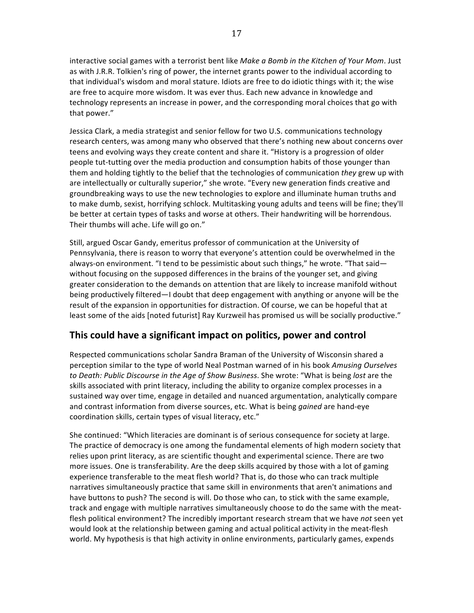interactive social games with a terrorist bent like Make a Bomb in the Kitchen of Your Mom. Just as with J.R.R. Tolkien's ring of power, the internet grants power to the individual according to that individual's wisdom and moral stature. Idiots are free to do idiotic things with it; the wise are free to acquire more wisdom. It was ever thus. Each new advance in knowledge and technology represents an increase in power, and the corresponding moral choices that go with that power."

Jessica Clark, a media strategist and senior fellow for two U.S. communications technology research centers, was among many who observed that there's nothing new about concerns over teens and evolving ways they create content and share it. "History is a progression of older people tut-tutting over the media production and consumption habits of those younger than them and holding tightly to the belief that the technologies of communication they grew up with are intellectually or culturally superior," she wrote. "Every new generation finds creative and groundbreaking ways to use the new technologies to explore and illuminate human truths and to make dumb, sexist, horrifying schlock. Multitasking young adults and teens will be fine; they'll be better at certain types of tasks and worse at others. Their handwriting will be horrendous. Their thumbs will ache. Life will go on."

Still, argued Oscar Gandy, emeritus professor of communication at the University of Pennsylvania, there is reason to worry that everyone's attention could be overwhelmed in the always-on environment. "I tend to be pessimistic about such things," he wrote. "That said without focusing on the supposed differences in the brains of the younger set, and giving greater consideration to the demands on attention that are likely to increase manifold without being productively filtered—I doubt that deep engagement with anything or anyone will be the result of the expansion in opportunities for distraction. Of course, we can be hopeful that at least some of the aids [noted futurist] Ray Kurzweil has promised us will be socially productive."

## **This could have a significant impact on politics, power and control**

Respected communications scholar Sandra Braman of the University of Wisconsin shared a perception similar to the type of world Neal Postman warned of in his book Amusing Ourselves to Death: Public Discourse in the Age of Show Business. She wrote: "What is being lost are the skills associated with print literacy, including the ability to organize complex processes in a sustained way over time, engage in detailed and nuanced argumentation, analytically compare and contrast information from diverse sources, etc. What is being *gained* are hand-eye coordination skills, certain types of visual literacy, etc."

She continued: "Which literacies are dominant is of serious consequence for society at large. The practice of democracy is one among the fundamental elements of high modern society that relies upon print literacy, as are scientific thought and experimental science. There are two more issues. One is transferability. Are the deep skills acquired by those with a lot of gaming experience transferable to the meat flesh world? That is, do those who can track multiple narratives simultaneously practice that same skill in environments that aren't animations and have buttons to push? The second is will. Do those who can, to stick with the same example, track and engage with multiple narratives simultaneously choose to do the same with the meatflesh political environment? The incredibly important research stream that we have not seen yet would look at the relationship between gaming and actual political activity in the meat-flesh world. My hypothesis is that high activity in online environments, particularly games, expends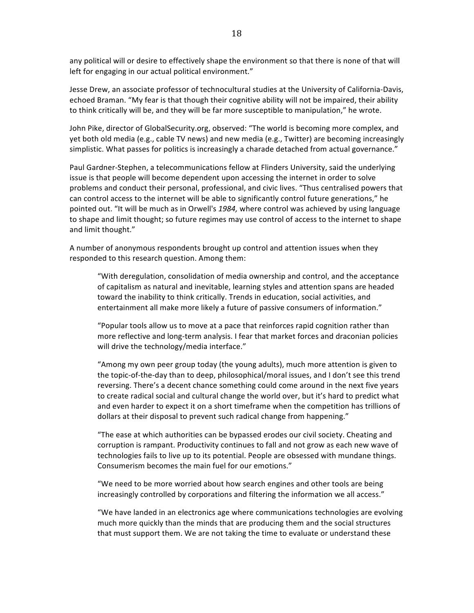any political will or desire to effectively shape the environment so that there is none of that will left for engaging in our actual political environment."

Jesse Drew, an associate professor of technocultural studies at the University of California-Davis, echoed Braman. "My fear is that though their cognitive ability will not be impaired, their ability to think critically will be, and they will be far more susceptible to manipulation," he wrote.

John Pike, director of GlobalSecurity.org, observed: "The world is becoming more complex, and yet both old media (e.g., cable TV news) and new media (e.g., Twitter) are becoming increasingly simplistic. What passes for politics is increasingly a charade detached from actual governance."

Paul Gardner-Stephen, a telecommunications fellow at Flinders University, said the underlying issue is that people will become dependent upon accessing the internet in order to solve problems and conduct their personal, professional, and civic lives. "Thus centralised powers that can control access to the internet will be able to significantly control future generations," he pointed out. "It will be much as in Orwell's 1984, where control was achieved by using language to shape and limit thought; so future regimes may use control of access to the internet to shape and limit thought."

A number of anonymous respondents brought up control and attention issues when they responded to this research question. Among them:

"With deregulation, consolidation of media ownership and control, and the acceptance of capitalism as natural and inevitable, learning styles and attention spans are headed toward the inability to think critically. Trends in education, social activities, and entertainment all make more likely a future of passive consumers of information."

"Popular tools allow us to move at a pace that reinforces rapid cognition rather than more reflective and long-term analysis. I fear that market forces and draconian policies will drive the technology/media interface."

"Among my own peer group today (the young adults), much more attention is given to the topic-of-the-day than to deep, philosophical/moral issues, and I don't see this trend reversing. There's a decent chance something could come around in the next five years to create radical social and cultural change the world over, but it's hard to predict what and even harder to expect it on a short timeframe when the competition has trillions of dollars at their disposal to prevent such radical change from happening."

"The ease at which authorities can be bypassed erodes our civil society. Cheating and corruption is rampant. Productivity continues to fall and not grow as each new wave of technologies fails to live up to its potential. People are obsessed with mundane things. Consumerism becomes the main fuel for our emotions."

"We need to be more worried about how search engines and other tools are being increasingly controlled by corporations and filtering the information we all access."

"We have landed in an electronics age where communications technologies are evolving much more quickly than the minds that are producing them and the social structures that must support them. We are not taking the time to evaluate or understand these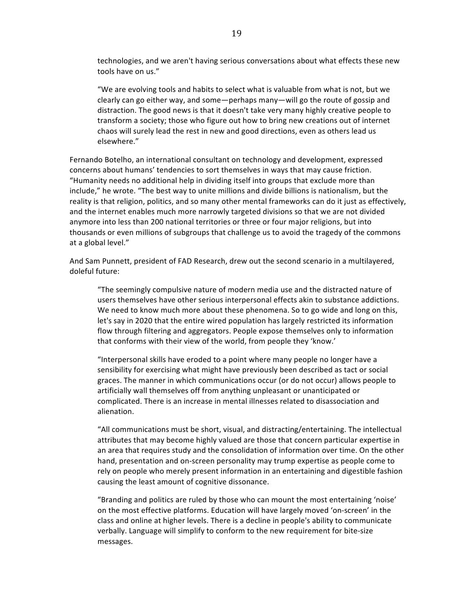technologies, and we aren't having serious conversations about what effects these new tools have on us."

"We are evolving tools and habits to select what is valuable from what is not, but we clearly can go either way, and some—perhaps many—will go the route of gossip and distraction. The good news is that it doesn't take very many highly creative people to transform a society; those who figure out how to bring new creations out of internet chaos will surely lead the rest in new and good directions, even as others lead us elsewhere."

Fernando Botelho, an international consultant on technology and development, expressed concerns about humans' tendencies to sort themselves in ways that may cause friction. "Humanity needs no additional help in dividing itself into groups that exclude more than include," he wrote. "The best way to unite millions and divide billions is nationalism, but the reality is that religion, politics, and so many other mental frameworks can do it just as effectively, and the internet enables much more narrowly targeted divisions so that we are not divided anymore into less than 200 national territories or three or four major religions, but into thousands or even millions of subgroups that challenge us to avoid the tragedy of the commons at a global level."

And Sam Punnett, president of FAD Research, drew out the second scenario in a multilayered, doleful future:(

"The seemingly compulsive nature of modern media use and the distracted nature of users themselves have other serious interpersonal effects akin to substance addictions. We need to know much more about these phenomena. So to go wide and long on this, let's say in 2020 that the entire wired population has largely restricted its information flow through filtering and aggregators. People expose themselves only to information that conforms with their view of the world, from people they 'know.'

"Interpersonal skills have eroded to a point where many people no longer have a sensibility for exercising what might have previously been described as tact or social graces. The manner in which communications occur (or do not occur) allows people to artificially wall themselves off from anything unpleasant or unanticipated or complicated. There is an increase in mental illnesses related to disassociation and alienation.

"All communications must be short, visual, and distracting/entertaining. The intellectual attributes that may become highly valued are those that concern particular expertise in an area that requires study and the consolidation of information over time. On the other hand, presentation and on-screen personality may trump expertise as people come to rely on people who merely present information in an entertaining and digestible fashion causing the least amount of cognitive dissonance.

"Branding and politics are ruled by those who can mount the most entertaining 'noise' on the most effective platforms. Education will have largely moved 'on-screen' in the class and online at higher levels. There is a decline in people's ability to communicate verbally. Language will simplify to conform to the new requirement for bite-size messages.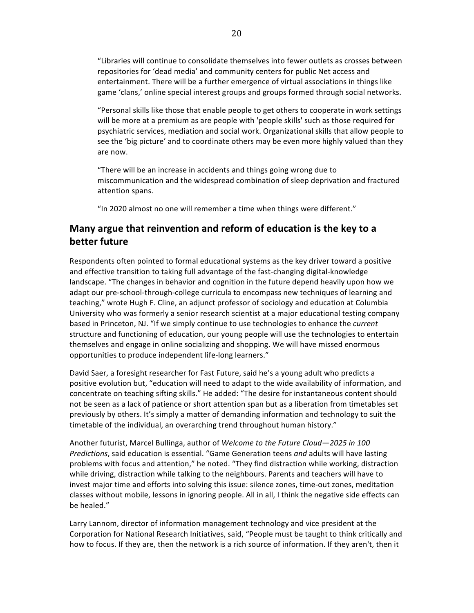"Libraries will continue to consolidate themselves into fewer outlets as crosses between repositories for 'dead media' and community centers for public Net access and entertainment. There will be a further emergence of virtual associations in things like game 'clans,' online special interest groups and groups formed through social networks.

"Personal skills like those that enable people to get others to cooperate in work settings will be more at a premium as are people with 'people skills' such as those required for psychiatric services, mediation and social work. Organizational skills that allow people to see the 'big picture' and to coordinate others may be even more highly valued than they are now.

"There will be an increase in accidents and things going wrong due to miscommunication and the widespread combination of sleep deprivation and fractured attention spans.

"In 2020 almost no one will remember a time when things were different."

### **Many argue that reinvention and reform of education is the key to a better future**

Respondents often pointed to formal educational systems as the key driver toward a positive and effective transition to taking full advantage of the fast-changing digital-knowledge landscape. "The changes in behavior and cognition in the future depend heavily upon how we adapt our pre-school-through-college curricula to encompass new techniques of learning and teaching," wrote Hugh F. Cline, an adjunct professor of sociology and education at Columbia University who was formerly a senior research scientist at a major educational testing company based in Princeton, NJ. "If we simply continue to use technologies to enhance the *current* structure and functioning of education, our young people will use the technologies to entertain themselves and engage in online socializing and shopping. We will have missed enormous opportunities to produce independent life-long learners."

David Saer, a foresight researcher for Fast Future, said he's a young adult who predicts a positive evolution but, "education will need to adapt to the wide availability of information, and concentrate on teaching sifting skills." He added: "The desire for instantaneous content should not be seen as a lack of patience or short attention span but as a liberation from timetables set previously by others. It's simply a matter of demanding information and technology to suit the timetable of the individual, an overarching trend throughout human history."

Another futurist, Marcel Bullinga, author of Welcome to the Future Cloud-2025 in 100 *Predictions*, said education is essential. "Game Generation teens *and* adults will have lasting problems with focus and attention," he noted. "They find distraction while working, distraction while driving, distraction while talking to the neighbours. Parents and teachers will have to invest major time and efforts into solving this issue: silence zones, time-out zones, meditation classes without mobile, lessons in ignoring people. All in all, I think the negative side effects can be healed."

Larry Lannom, director of information management technology and vice president at the Corporation for National Research Initiatives, said, "People must be taught to think critically and how to focus. If they are, then the network is a rich source of information. If they aren't, then it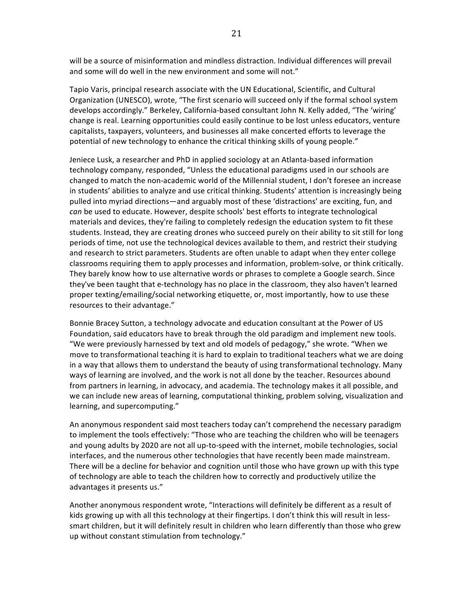will be a source of misinformation and mindless distraction. Individual differences will prevail and some will do well in the new environment and some will not."

Tapio Varis, principal research associate with the UN Educational, Scientific, and Cultural Organization (UNESCO), wrote, "The first scenario will succeed only if the formal school system develops accordingly." Berkeley, California-based consultant John N. Kelly added, "The 'wiring' change is real. Learning opportunities could easily continue to be lost unless educators, venture capitalists, taxpayers, volunteers, and businesses all make concerted efforts to leverage the potential of new technology to enhance the critical thinking skills of young people."

Jeniece Lusk, a researcher and PhD in applied sociology at an Atlanta-based information technology company, responded, "Unless the educational paradigms used in our schools are changed to match the non-academic world of the Millennial student, I don't foresee an increase in students' abilities to analyze and use critical thinking. Students' attention is increasingly being pulled into myriad directions—and arguably most of these 'distractions' are exciting, fun, and *can* be used to educate. However, despite schools' best efforts to integrate technological materials and devices, they're failing to completely redesign the education system to fit these students. Instead, they are creating drones who succeed purely on their ability to sit still for long periods of time, not use the technological devices available to them, and restrict their studying and research to strict parameters. Students are often unable to adapt when they enter college classrooms requiring them to apply processes and information, problem-solve, or think critically. They barely know how to use alternative words or phrases to complete a Google search. Since they've been taught that e-technology has no place in the classroom, they also haven't learned proper texting/emailing/social networking etiquette, or, most importantly, how to use these resources to their advantage."

Bonnie Bracey Sutton, a technology advocate and education consultant at the Power of US Foundation, said educators have to break through the old paradigm and implement new tools. "We were previously harnessed by text and old models of pedagogy," she wrote. "When we move to transformational teaching it is hard to explain to traditional teachers what we are doing in a way that allows them to understand the beauty of using transformational technology. Many ways of learning are involved, and the work is not all done by the teacher. Resources abound from partners in learning, in advocacy, and academia. The technology makes it all possible, and we can include new areas of learning, computational thinking, problem solving, visualization and learning, and supercomputing."

An anonymous respondent said most teachers today can't comprehend the necessary paradigm to implement the tools effectively: "Those who are teaching the children who will be teenagers and young adults by 2020 are not all up-to-speed with the internet, mobile technologies, social interfaces, and the numerous other technologies that have recently been made mainstream. There will be a decline for behavior and cognition until those who have grown up with this type of technology are able to teach the children how to correctly and productively utilize the advantages it presents us."

Another anonymous respondent wrote, "Interactions will definitely be different as a result of kids growing up with all this technology at their fingertips. I don't think this will result in lesssmart children, but it will definitely result in children who learn differently than those who grew up without constant stimulation from technology."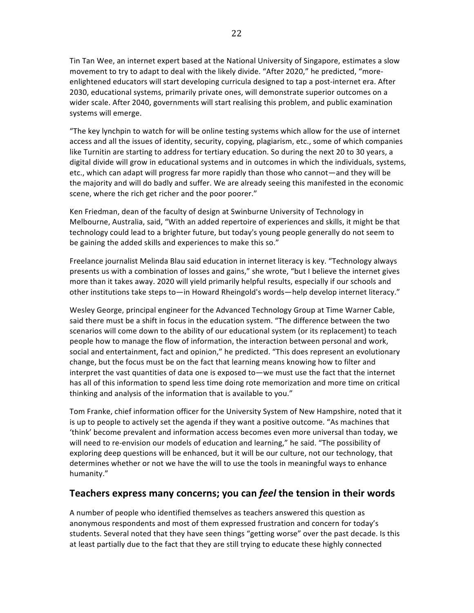Tin Tan Wee, an internet expert based at the National University of Singapore, estimates a slow movement to try to adapt to deal with the likely divide. "After 2020," he predicted, "moreenlightened educators will start developing curricula designed to tap a post-internet era. After 2030, educational systems, primarily private ones, will demonstrate superior outcomes on a wider scale. After 2040, governments will start realising this problem, and public examination systems will emerge.

"The key lynchpin to watch for will be online testing systems which allow for the use of internet access and all the issues of identity, security, copying, plagiarism, etc., some of which companies like Turnitin are starting to address for tertiary education. So during the next 20 to 30 years, a digital divide will grow in educational systems and in outcomes in which the individuals, systems, etc., which can adapt will progress far more rapidly than those who cannot—and they will be the majority and will do badly and suffer. We are already seeing this manifested in the economic scene, where the rich get richer and the poor poorer."

Ken Friedman, dean of the faculty of design at Swinburne University of Technology in Melbourne, Australia, said, "With an added repertoire of experiences and skills, it might be that technology could lead to a brighter future, but today's young people generally do not seem to be gaining the added skills and experiences to make this so."

Freelance journalist Melinda Blau said education in internet literacy is key. "Technology always presents us with a combination of losses and gains," she wrote, "but I believe the internet gives more than it takes away. 2020 will yield primarily helpful results, especially if our schools and other institutions take steps to—in Howard Rheingold's words—help develop internet literacy."

Wesley George, principal engineer for the Advanced Technology Group at Time Warner Cable, said there must be a shift in focus in the education system. "The difference between the two scenarios will come down to the ability of our educational system (or its replacement) to teach people how to manage the flow of information, the interaction between personal and work, social and entertainment, fact and opinion," he predicted. "This does represent an evolutionary change, but the focus must be on the fact that learning means knowing how to filter and interpret the vast quantities of data one is exposed to—we must use the fact that the internet has all of this information to spend less time doing rote memorization and more time on critical thinking and analysis of the information that is available to you."

Tom Franke, chief information officer for the University System of New Hampshire, noted that it is up to people to actively set the agenda if they want a positive outcome. "As machines that 'think' become prevalent and information access becomes even more universal than today, we will need to re-envision our models of education and learning," he said. "The possibility of exploring deep questions will be enhanced, but it will be our culture, not our technology, that determines whether or not we have the will to use the tools in meaningful ways to enhance humanity."

#### **Teachers express many concerns; you can** *feel* **the tension in their words**

A number of people who identified themselves as teachers answered this question as anonymous respondents and most of them expressed frustration and concern for today's students. Several noted that they have seen things "getting worse" over the past decade. Is this at least partially due to the fact that they are still trying to educate these highly connected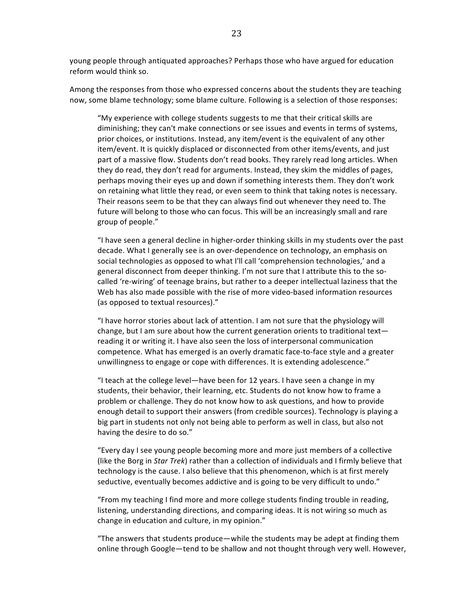young people through antiquated approaches? Perhaps those who have argued for education reform would think so.

Among the responses from those who expressed concerns about the students they are teaching now, some blame technology; some blame culture. Following is a selection of those responses:

"My experience with college students suggests to me that their critical skills are diminishing; they can't make connections or see issues and events in terms of systems, prior choices, or institutions. Instead, any item/event is the equivalent of any other item/event. It is quickly displaced or disconnected from other items/events, and just part of a massive flow. Students don't read books. They rarely read long articles. When they do read, they don't read for arguments. Instead, they skim the middles of pages, perhaps moving their eyes up and down if something interests them. They don't work on retaining what little they read, or even seem to think that taking notes is necessary. Their reasons seem to be that they can always find out whenever they need to. The future will belong to those who can focus. This will be an increasingly small and rare group of people."

"I have seen a general decline in higher-order thinking skills in my students over the past decade. What I generally see is an over-dependence on technology, an emphasis on social technologies as opposed to what I'll call 'comprehension technologies,' and a general disconnect from deeper thinking. I'm not sure that I attribute this to the socalled 're-wiring' of teenage brains, but rather to a deeper intellectual laziness that the Web has also made possible with the rise of more video-based information resources (as opposed to textual resources)."

"I have horror stories about lack of attention. I am not sure that the physiology will change, but I am sure about how the current generation orients to traditional textreading it or writing it. I have also seen the loss of interpersonal communication competence. What has emerged is an overly dramatic face-to-face style and a greater unwillingness to engage or cope with differences. It is extending adolescence."

"I teach at the college level—have been for 12 years. I have seen a change in my students, their behavior, their learning, etc. Students do not know how to frame a problem or challenge. They do not know how to ask questions, and how to provide enough detail to support their answers (from credible sources). Technology is playing a big part in students not only not being able to perform as well in class, but also not having the desire to do so."

"Every day I see young people becoming more and more just members of a collective (like the Borg in *Star Trek*) rather than a collection of individuals and I firmly believe that technology is the cause. I also believe that this phenomenon, which is at first merely seductive, eventually becomes addictive and is going to be very difficult to undo."

"From my teaching I find more and more college students finding trouble in reading, listening, understanding directions, and comparing ideas. It is not wiring so much as change in education and culture, in my opinion."

"The answers that students produce—while the students may be adept at finding them online through Google—tend to be shallow and not thought through very well. However,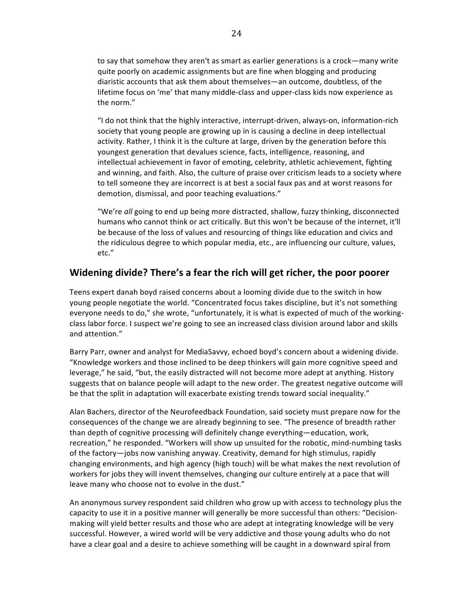to say that somehow they aren't as smart as earlier generations is a crock—many write quite poorly on academic assignments but are fine when blogging and producing diaristic accounts that ask them about themselves—an outcome, doubtless, of the lifetime focus on 'me' that many middle-class and upper-class kids now experience as the norm."

"I do not think that the highly interactive, interrupt-driven, always-on, information-rich society that young people are growing up in is causing a decline in deep intellectual activity. Rather, I think it is the culture at large, driven by the generation before this youngest generation that devalues science, facts, intelligence, reasoning, and intellectual achievement in favor of emoting, celebrity, athletic achievement, fighting and winning, and faith. Also, the culture of praise over criticism leads to a society where to tell someone they are incorrect is at best a social faux pas and at worst reasons for demotion, dismissal, and poor teaching evaluations."

"We're all going to end up being more distracted, shallow, fuzzy thinking, disconnected humans who cannot think or act critically. But this won't be because of the internet, it'll be because of the loss of values and resourcing of things like education and civics and the ridiculous degree to which popular media, etc., are influencing our culture, values, etc."

#### **Widening divide? There's a fear the rich will get richer, the poor poorer**

Teens expert danah boyd raised concerns about a looming divide due to the switch in how young people negotiate the world. "Concentrated focus takes discipline, but it's not something everyone needs to do," she wrote, "unfortunately, it is what is expected of much of the workingclass labor force. I suspect we're going to see an increased class division around labor and skills and attention."

Barry Parr, owner and analyst for MediaSavvy, echoed boyd's concern about a widening divide. "Knowledge workers and those inclined to be deep thinkers will gain more cognitive speed and leverage," he said, "but, the easily distracted will not become more adept at anything. History suggests that on balance people will adapt to the new order. The greatest negative outcome will be that the split in adaptation will exacerbate existing trends toward social inequality."

Alan Bachers, director of the Neurofeedback Foundation, said society must prepare now for the consequences of the change we are already beginning to see. "The presence of breadth rather than depth of cognitive processing will definitely change everything—education, work, recreation," he responded. "Workers will show up unsuited for the robotic, mind-numbing tasks of the factory—jobs now vanishing anyway. Creativity, demand for high stimulus, rapidly changing environments, and high agency (high touch) will be what makes the next revolution of workers for jobs they will invent themselves, changing our culture entirely at a pace that will leave many who choose not to evolve in the dust."

An anonymous survey respondent said children who grow up with access to technology plus the capacity to use it in a positive manner will generally be more successful than others: "Decisionmaking will yield better results and those who are adept at integrating knowledge will be very successful. However, a wired world will be very addictive and those young adults who do not have a clear goal and a desire to achieve something will be caught in a downward spiral from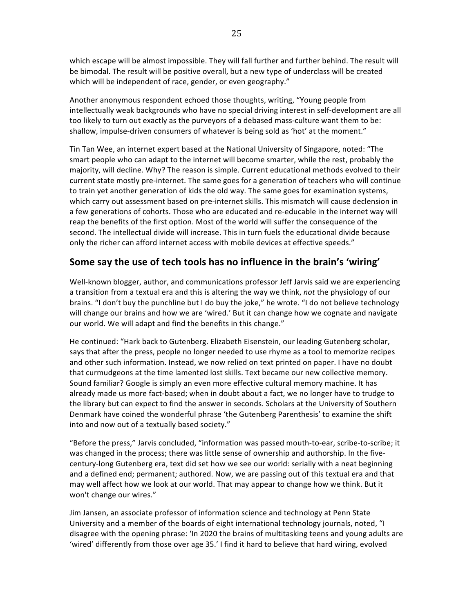which escape will be almost impossible. They will fall further and further behind. The result will be bimodal. The result will be positive overall, but a new type of underclass will be created which will be independent of race, gender, or even geography."

Another anonymous respondent echoed those thoughts, writing, "Young people from intellectually weak backgrounds who have no special driving interest in self-development are all too likely to turn out exactly as the purveyors of a debased mass-culture want them to be: shallow, impulse-driven consumers of whatever is being sold as 'hot' at the moment."

Tin Tan Wee, an internet expert based at the National University of Singapore, noted: "The smart people who can adapt to the internet will become smarter, while the rest, probably the majority, will decline. Why? The reason is simple. Current educational methods evolved to their current state mostly pre-internet. The same goes for a generation of teachers who will continue to train yet another generation of kids the old way. The same goes for examination systems, which carry out assessment based on pre-internet skills. This mismatch will cause declension in a few generations of cohorts. Those who are educated and re-educable in the internet way will reap the benefits of the first option. Most of the world will suffer the consequence of the second. The intellectual divide will increase. This in turn fuels the educational divide because only the richer can afford internet access with mobile devices at effective speeds."

#### Some say the use of tech tools has no influence in the brain's 'wiring'

Well-known blogger, author, and communications professor Jeff Jarvis said we are experiencing a transition from a textual era and this is altering the way we think, not the physiology of our brains. "I don't buy the punchline but I do buy the joke," he wrote. "I do not believe technology will change our brains and how we are 'wired.' But it can change how we cognate and navigate our world. We will adapt and find the benefits in this change."

He continued: "Hark back to Gutenberg. Elizabeth Eisenstein, our leading Gutenberg scholar, says that after the press, people no longer needed to use rhyme as a tool to memorize recipes and other such information. Instead, we now relied on text printed on paper. I have no doubt that curmudgeons at the time lamented lost skills. Text became our new collective memory. Sound familiar? Google is simply an even more effective cultural memory machine. It has already made us more fact-based; when in doubt about a fact, we no longer have to trudge to the library but can expect to find the answer in seconds. Scholars at the University of Southern Denmark have coined the wonderful phrase 'the Gutenberg Parenthesis' to examine the shift into and now out of a textually based society."

"Before the press," Jarvis concluded, "information was passed mouth-to-ear, scribe-to-scribe; it was changed in the process; there was little sense of ownership and authorship. In the fivecentury-long Gutenberg era, text did set how we see our world: serially with a neat beginning and a defined end; permanent; authored. Now, we are passing out of this textual era and that may well affect how we look at our world. That may appear to change how we think. But it won't change our wires."

Jim Jansen, an associate professor of information science and technology at Penn State University and a member of the boards of eight international technology journals, noted, "I disagree with the opening phrase: 'In 2020 the brains of multitasking teens and young adults are 'wired' differently from those over age 35.' I find it hard to believe that hard wiring, evolved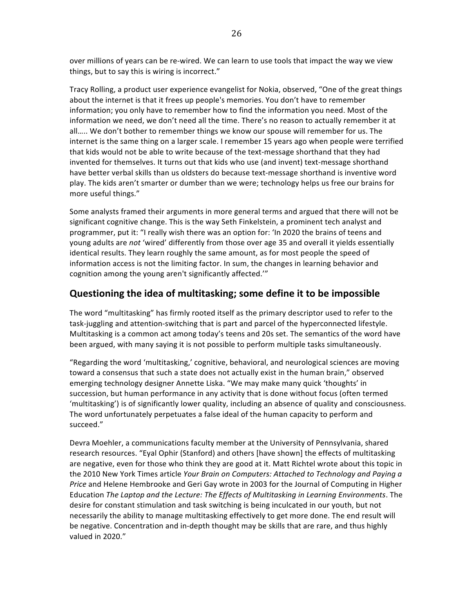over millions of years can be re-wired. We can learn to use tools that impact the way we view things, but to say this is wiring is incorrect."

Tracy Rolling, a product user experience evangelist for Nokia, observed, "One of the great things about the internet is that it frees up people's memories. You don't have to remember information; you only have to remember how to find the information you need. Most of the information we need, we don't need all the time. There's no reason to actually remember it at all..... We don't bother to remember things we know our spouse will remember for us. The internet is the same thing on a larger scale. I remember 15 years ago when people were terrified that kids would not be able to write because of the text-message shorthand that they had invented for themselves. It turns out that kids who use (and invent) text-message shorthand have better verbal skills than us oldsters do because text-message shorthand is inventive word play. The kids aren't smarter or dumber than we were; technology helps us free our brains for more useful things."

Some analysts framed their arguments in more general terms and argued that there will not be significant cognitive change. This is the way Seth Finkelstein, a prominent tech analyst and programmer, put it: "I really wish there was an option for: 'In 2020 the brains of teens and young adults are *not* 'wired' differently from those over age 35 and overall it yields essentially identical results. They learn roughly the same amount, as for most people the speed of information access is not the limiting factor. In sum, the changes in learning behavior and cognition among the young aren't significantly affected.'"

#### **Questioning the idea of multitasking; some define it to be impossible**

The word "multitasking" has firmly rooted itself as the primary descriptor used to refer to the task-juggling and attention-switching that is part and parcel of the hyperconnected lifestyle. Multitasking is a common act among today's teens and 20s set. The semantics of the word have been argued, with many saying it is not possible to perform multiple tasks simultaneously.

"Regarding the word 'multitasking,' cognitive, behavioral, and neurological sciences are moving toward a consensus that such a state does not actually exist in the human brain," observed emerging technology designer Annette Liska. "We may make many quick 'thoughts' in succession, but human performance in any activity that is done without focus (often termed 'multitasking') is of significantly lower quality, including an absence of quality and consciousness. The word unfortunately perpetuates a false ideal of the human capacity to perform and succeed."

Devra Moehler, a communications faculty member at the University of Pennsylvania, shared research resources. "Eyal Ophir (Stanford) and others [have shown] the effects of multitasking are negative, even for those who think they are good at it. Matt Richtel wrote about this topic in the 2010 New York Times article Your Brain on Computers: Attached to Technology and Paying a *Price* and Helene Hembrooke and Geri Gay wrote in 2003 for the Journal of Computing in Higher Education The Laptop and the Lecture: The Effects of Multitasking in Learning Environments. The desire for constant stimulation and task switching is being inculcated in our youth, but not necessarily the ability to manage multitasking effectively to get more done. The end result will be negative. Concentration and in-depth thought may be skills that are rare, and thus highly valued in 2020."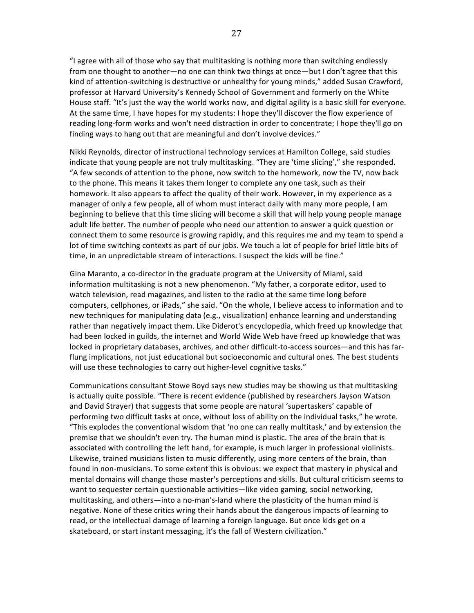"I agree with all of those who say that multitasking is nothing more than switching endlessly from one thought to another—no one can think two things at once—but I don't agree that this kind of attention-switching is destructive or unhealthy for young minds," added Susan Crawford, professor at Harvard University's Kennedy School of Government and formerly on the White House staff. "It's just the way the world works now, and digital agility is a basic skill for everyone. At the same time, I have hopes for my students: I hope they'll discover the flow experience of reading long-form works and won't need distraction in order to concentrate; I hope they'll go on finding ways to hang out that are meaningful and don't involve devices."

Nikki Reynolds, director of instructional technology services at Hamilton College, said studies indicate that young people are not truly multitasking. "They are 'time slicing'," she responded. "A few seconds of attention to the phone, now switch to the homework, now the TV, now back to the phone. This means it takes them longer to complete any one task, such as their homework. It also appears to affect the quality of their work. However, in my experience as a manager of only a few people, all of whom must interact daily with many more people, I am beginning to believe that this time slicing will become a skill that will help young people manage adult life better. The number of people who need our attention to answer a quick question or connect them to some resource is growing rapidly, and this requires me and my team to spend a lot of time switching contexts as part of our jobs. We touch a lot of people for brief little bits of time, in an unpredictable stream of interactions. I suspect the kids will be fine."

Gina Maranto, a co-director in the graduate program at the University of Miami, said information multitasking is not a new phenomenon. "My father, a corporate editor, used to watch television, read magazines, and listen to the radio at the same time long before computers, cellphones, or iPads," she said. "On the whole, I believe access to information and to new techniques for manipulating data (e.g., visualization) enhance learning and understanding rather than negatively impact them. Like Diderot's encyclopedia, which freed up knowledge that had been locked in guilds, the internet and World Wide Web have freed up knowledge that was locked in proprietary databases, archives, and other difficult-to-access sources—and this has farflung implications, not just educational but socioeconomic and cultural ones. The best students will use these technologies to carry out higher-level cognitive tasks."

Communications consultant Stowe Boyd says new studies may be showing us that multitasking is actually quite possible. "There is recent evidence (published by researchers Jayson Watson and David Strayer) that suggests that some people are natural 'supertaskers' capable of performing two difficult tasks at once, without loss of ability on the individual tasks," he wrote. "This explodes the conventional wisdom that 'no one can really multitask,' and by extension the premise that we shouldn't even try. The human mind is plastic. The area of the brain that is associated with controlling the left hand, for example, is much larger in professional violinists. Likewise, trained musicians listen to music differently, using more centers of the brain, than found in non-musicians. To some extent this is obvious: we expect that mastery in physical and mental domains will change those master's perceptions and skills. But cultural criticism seems to want to sequester certain questionable activities—like video gaming, social networking, multitasking, and others—into a no-man's-land where the plasticity of the human mind is negative. None of these critics wring their hands about the dangerous impacts of learning to read, or the intellectual damage of learning a foreign language. But once kids get on a skateboard, or start instant messaging, it's the fall of Western civilization."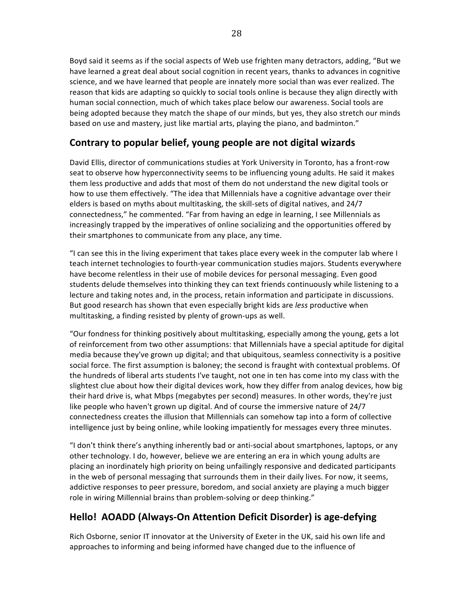Boyd said it seems as if the social aspects of Web use frighten many detractors, adding, "But we have learned a great deal about social cognition in recent years, thanks to advances in cognitive science, and we have learned that people are innately more social than was ever realized. The reason that kids are adapting so quickly to social tools online is because they align directly with human social connection, much of which takes place below our awareness. Social tools are being adopted because they match the shape of our minds, but yes, they also stretch our minds based on use and mastery, just like martial arts, playing the piano, and badminton."

#### Contrary to popular belief, young people are not digital wizards

David Ellis, director of communications studies at York University in Toronto, has a front-row seat to observe how hyperconnectivity seems to be influencing young adults. He said it makes them less productive and adds that most of them do not understand the new digital tools or how to use them effectively. "The idea that Millennials have a cognitive advantage over their elders is based on myths about multitasking, the skill-sets of digital natives, and 24/7 connectedness," he commented. "Far from having an edge in learning, I see Millennials as increasingly trapped by the imperatives of online socializing and the opportunities offered by their smartphones to communicate from any place, any time.

"I can see this in the living experiment that takes place every week in the computer lab where I teach internet technologies to fourth-year communication studies majors. Students everywhere have become relentless in their use of mobile devices for personal messaging. Even good students delude themselves into thinking they can text friends continuously while listening to a lecture and taking notes and, in the process, retain information and participate in discussions. But good research has shown that even especially bright kids are *less* productive when multitasking, a finding resisted by plenty of grown-ups as well.

"Our fondness for thinking positively about multitasking, especially among the young, gets a lot of reinforcement from two other assumptions: that Millennials have a special aptitude for digital media because they've grown up digital; and that ubiquitous, seamless connectivity is a positive social force. The first assumption is baloney; the second is fraught with contextual problems. Of the hundreds of liberal arts students I've taught, not one in ten has come into my class with the slightest clue about how their digital devices work, how they differ from analog devices, how big their hard drive is, what Mbps (megabytes per second) measures. In other words, they're just like people who haven't grown up digital. And of course the immersive nature of  $24/7$ connectedness creates the illusion that Millennials can somehow tap into a form of collective intelligence just by being online, while looking impatiently for messages every three minutes.

"I don't think there's anything inherently bad or anti-social about smartphones, laptops, or any other technology. I do, however, believe we are entering an era in which young adults are placing an inordinately high priority on being unfailingly responsive and dedicated participants in the web of personal messaging that surrounds them in their daily lives. For now, it seems, addictive responses to peer pressure, boredom, and social anxiety are playing a much bigger role in wiring Millennial brains than problem-solving or deep thinking."

## **Hello! AOADD (Always-On Attention Deficit Disorder) is age-defying**

Rich Osborne, senior IT innovator at the University of Exeter in the UK, said his own life and approaches to informing and being informed have changed due to the influence of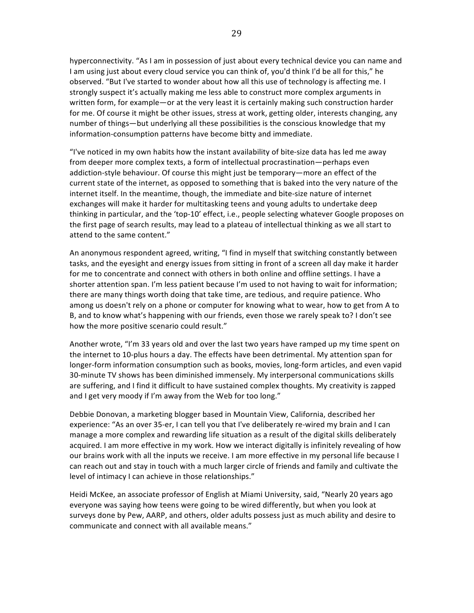hyperconnectivity. "As I am in possession of just about every technical device you can name and I am using just about every cloud service you can think of, you'd think I'd be all for this," he observed. "But I've started to wonder about how all this use of technology is affecting me. I strongly suspect it's actually making me less able to construct more complex arguments in written form, for example—or at the very least it is certainly making such construction harder for me. Of course it might be other issues, stress at work, getting older, interests changing, any number of things—but underlying all these possibilities is the conscious knowledge that my information-consumption patterns have become bitty and immediate.

"I've noticed in my own habits how the instant availability of bite-size data has led me away from deeper more complex texts, a form of intellectual procrastination—perhaps even addiction-style behaviour. Of course this might just be temporary—more an effect of the current state of the internet, as opposed to something that is baked into the very nature of the internet itself. In the meantime, though, the immediate and bite-size nature of internet exchanges will make it harder for multitasking teens and young adults to undertake deep thinking in particular, and the 'top-10' effect, i.e., people selecting whatever Google proposes on the first page of search results, may lead to a plateau of intellectual thinking as we all start to attend to the same content."

An anonymous respondent agreed, writing, "I find in myself that switching constantly between tasks, and the eyesight and energy issues from sitting in front of a screen all day make it harder for me to concentrate and connect with others in both online and offline settings. I have a shorter attention span. I'm less patient because I'm used to not having to wait for information; there are many things worth doing that take time, are tedious, and require patience. Who among us doesn't rely on a phone or computer for knowing what to wear, how to get from A to B, and to know what's happening with our friends, even those we rarely speak to? I don't see how the more positive scenario could result."

Another wrote, "I'm 33 years old and over the last two years have ramped up my time spent on the internet to 10-plus hours a day. The effects have been detrimental. My attention span for longer-form information consumption such as books, movies, long-form articles, and even vapid 30-minute TV shows has been diminished immensely. My interpersonal communications skills are suffering, and I find it difficult to have sustained complex thoughts. My creativity is zapped and I get very moody if I'm away from the Web for too long."

Debbie Donovan, a marketing blogger based in Mountain View, California, described her experience: "As an over 35-er, I can tell you that I've deliberately re-wired my brain and I can manage a more complex and rewarding life situation as a result of the digital skills deliberately acquired. I am more effective in my work. How we interact digitally is infinitely revealing of how our brains work with all the inputs we receive. I am more effective in my personal life because I can reach out and stay in touch with a much larger circle of friends and family and cultivate the level of intimacy I can achieve in those relationships."

Heidi McKee, an associate professor of English at Miami University, said, "Nearly 20 years ago everyone was saying how teens were going to be wired differently, but when you look at surveys done by Pew, AARP, and others, older adults possess just as much ability and desire to communicate and connect with all available means."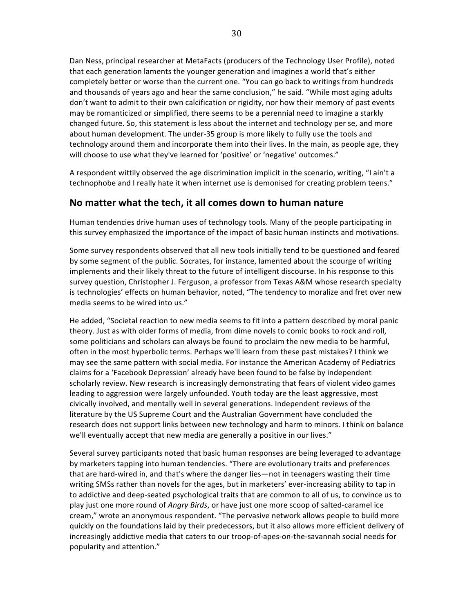Dan Ness, principal researcher at MetaFacts (producers of the Technology User Profile), noted that each generation laments the younger generation and imagines a world that's either completely better or worse than the current one. "You can go back to writings from hundreds and thousands of years ago and hear the same conclusion," he said. "While most aging adults don't want to admit to their own calcification or rigidity, nor how their memory of past events may be romanticized or simplified, there seems to be a perennial need to imagine a starkly changed future. So, this statement is less about the internet and technology per se, and more about human development. The under-35 group is more likely to fully use the tools and technology around them and incorporate them into their lives. In the main, as people age, they will choose to use what they've learned for 'positive' or 'negative' outcomes."

A respondent wittily observed the age discrimination implicit in the scenario, writing, "I ain't a technophobe and I really hate it when internet use is demonised for creating problem teens."

#### No matter what the tech, it all comes down to human nature

Human tendencies drive human uses of technology tools. Many of the people participating in this survey emphasized the importance of the impact of basic human instincts and motivations.

Some survey respondents observed that all new tools initially tend to be questioned and feared by some segment of the public. Socrates, for instance, lamented about the scourge of writing implements and their likely threat to the future of intelligent discourse. In his response to this survey question, Christopher J. Ferguson, a professor from Texas A&M whose research specialty is technologies' effects on human behavior, noted, "The tendency to moralize and fret over new media seems to be wired into us."

He added, "Societal reaction to new media seems to fit into a pattern described by moral panic theory. Just as with older forms of media, from dime novels to comic books to rock and roll, some politicians and scholars can always be found to proclaim the new media to be harmful, often in the most hyperbolic terms. Perhaps we'll learn from these past mistakes? I think we may see the same pattern with social media. For instance the American Academy of Pediatrics claims for a 'Facebook Depression' already have been found to be false by independent scholarly review. New research is increasingly demonstrating that fears of violent video games leading to aggression were largely unfounded. Youth today are the least aggressive, most civically involved, and mentally well in several generations. Independent reviews of the literature by the US Supreme Court and the Australian Government have concluded the research does not support links between new technology and harm to minors. I think on balance we'll eventually accept that new media are generally a positive in our lives."

Several survey participants noted that basic human responses are being leveraged to advantage by marketers tapping into human tendencies. "There are evolutionary traits and preferences that are hard-wired in, and that's where the danger lies—not in teenagers wasting their time writing SMSs rather than novels for the ages, but in marketers' ever-increasing ability to tap in to addictive and deep-seated psychological traits that are common to all of us, to convince us to play just one more round of *Angry Birds*, or have just one more scoop of salted-caramel ice cream," wrote an anonymous respondent. "The pervasive network allows people to build more quickly on the foundations laid by their predecessors, but it also allows more efficient delivery of increasingly addictive media that caters to our troop-of-apes-on-the-savannah social needs for popularity and attention."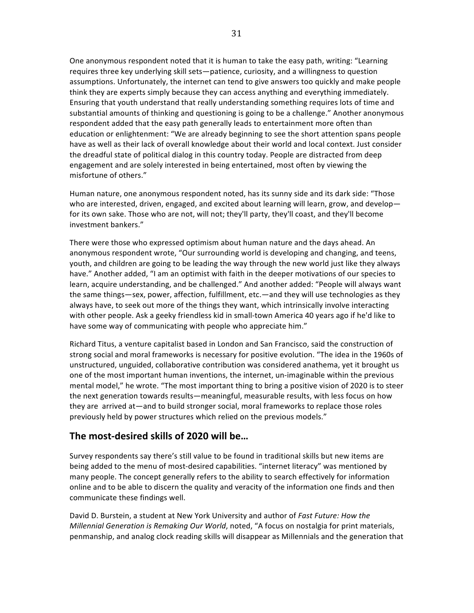One anonymous respondent noted that it is human to take the easy path, writing: "Learning requires three key underlying skill sets—patience, curiosity, and a willingness to question assumptions. Unfortunately, the internet can tend to give answers too quickly and make people think they are experts simply because they can access anything and everything immediately. Ensuring that youth understand that really understanding something requires lots of time and substantial amounts of thinking and questioning is going to be a challenge." Another anonymous respondent added that the easy path generally leads to entertainment more often than education or enlightenment: "We are already beginning to see the short attention spans people have as well as their lack of overall knowledge about their world and local context. Just consider the dreadful state of political dialog in this country today. People are distracted from deep engagement and are solely interested in being entertained, most often by viewing the misfortune of others."

Human nature, one anonymous respondent noted, has its sunny side and its dark side: "Those who are interested, driven, engaged, and excited about learning will learn, grow, and develop for its own sake. Those who are not, will not; they'll party, they'll coast, and they'll become investment bankers."

There were those who expressed optimism about human nature and the days ahead. An anonymous respondent wrote, "Our surrounding world is developing and changing, and teens, youth, and children are going to be leading the way through the new world just like they always have." Another added, "I am an optimist with faith in the deeper motivations of our species to learn, acquire understanding, and be challenged." And another added: "People will always want the same things—sex, power, affection, fulfillment, etc.—and they will use technologies as they always have, to seek out more of the things they want, which intrinsically involve interacting with other people. Ask a geeky friendless kid in small-town America 40 years ago if he'd like to have some way of communicating with people who appreciate him."

Richard Titus, a venture capitalist based in London and San Francisco, said the construction of strong social and moral frameworks is necessary for positive evolution. "The idea in the 1960s of unstructured, unguided, collaborative contribution was considered anathema, yet it brought us one of the most important human inventions, the internet, un-imaginable within the previous mental model," he wrote. "The most important thing to bring a positive vision of 2020 is to steer the next generation towards results—meaningful, measurable results, with less focus on how they are arrived at—and to build stronger social, moral frameworks to replace those roles previously held by power structures which relied on the previous models."

#### The most-desired skills of 2020 will be...

Survey respondents say there's still value to be found in traditional skills but new items are being added to the menu of most-desired capabilities. "internet literacy" was mentioned by many people. The concept generally refers to the ability to search effectively for information online and to be able to discern the quality and veracity of the information one finds and then communicate these findings well.

David D. Burstein, a student at New York University and author of Fast Future: How the *Millennial Generation is Remaking Our World, noted, "A focus on nostalgia for print materials,* penmanship, and analog clock reading skills will disappear as Millennials and the generation that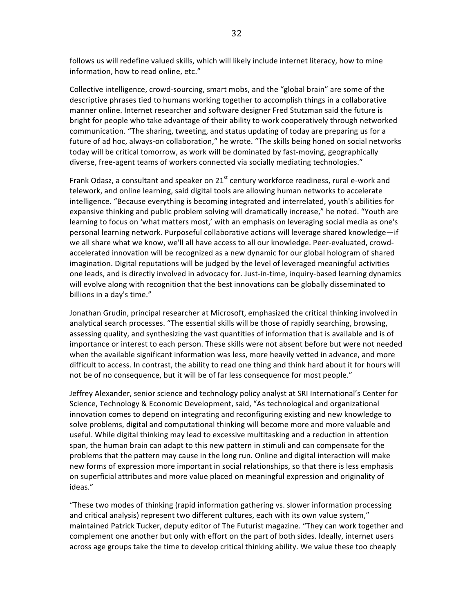follows us will redefine valued skills, which will likely include internet literacy, how to mine information, how to read online, etc."

Collective intelligence, crowd-sourcing, smart mobs, and the "global brain" are some of the descriptive phrases tied to humans working together to accomplish things in a collaborative manner online. Internet researcher and software designer Fred Stutzman said the future is bright for people who take advantage of their ability to work cooperatively through networked communication. "The sharing, tweeting, and status updating of today are preparing us for a future of ad hoc, always-on collaboration," he wrote. "The skills being honed on social networks today will be critical tomorrow, as work will be dominated by fast-moving, geographically diverse, free-agent teams of workers connected via socially mediating technologies."

Frank Odasz, a consultant and speaker on 21<sup>st</sup> century workforce readiness, rural e-work and telework, and online learning, said digital tools are allowing human networks to accelerate intelligence. "Because everything is becoming integrated and interrelated, youth's abilities for expansive thinking and public problem solving will dramatically increase," he noted. "Youth are learning to focus on 'what matters most,' with an emphasis on leveraging social media as one's personal learning network. Purposeful collaborative actions will leverage shared knowledge—if we all share what we know, we'll all have access to all our knowledge. Peer-evaluated, crowdaccelerated innovation will be recognized as a new dynamic for our global hologram of shared imagination. Digital reputations will be judged by the level of leveraged meaningful activities one leads, and is directly involved in advocacy for. Just-in-time, inquiry-based learning dynamics will evolve along with recognition that the best innovations can be globally disseminated to billions in a day's time."

Jonathan Grudin, principal researcher at Microsoft, emphasized the critical thinking involved in analytical search processes. "The essential skills will be those of rapidly searching, browsing, assessing quality, and synthesizing the vast quantities of information that is available and is of importance or interest to each person. These skills were not absent before but were not needed when the available significant information was less, more heavily vetted in advance, and more difficult to access. In contrast, the ability to read one thing and think hard about it for hours will not be of no consequence, but it will be of far less consequence for most people."

Jeffrey Alexander, senior science and technology policy analyst at SRI International's Center for Science, Technology & Economic Development, said, "As technological and organizational innovation comes to depend on integrating and reconfiguring existing and new knowledge to solve problems, digital and computational thinking will become more and more valuable and useful. While digital thinking may lead to excessive multitasking and a reduction in attention span, the human brain can adapt to this new pattern in stimuli and can compensate for the problems that the pattern may cause in the long run. Online and digital interaction will make new forms of expression more important in social relationships, so that there is less emphasis on superficial attributes and more value placed on meaningful expression and originality of ideas."

"These two modes of thinking (rapid information gathering vs. slower information processing and critical analysis) represent two different cultures, each with its own value system," maintained Patrick Tucker, deputy editor of The Futurist magazine. "They can work together and complement one another but only with effort on the part of both sides. Ideally, internet users across age groups take the time to develop critical thinking ability. We value these too cheaply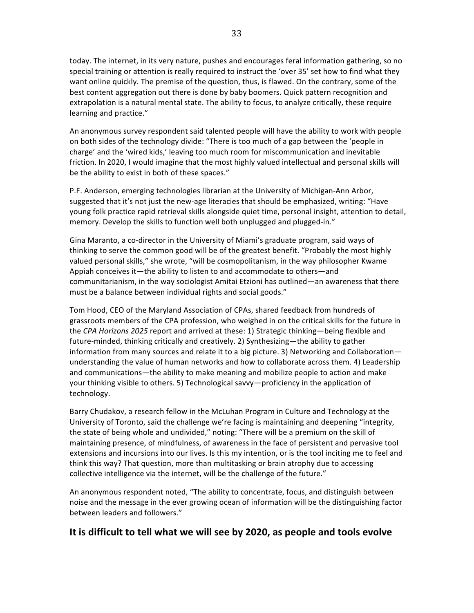today. The internet, in its very nature, pushes and encourages feral information gathering, so no special training or attention is really required to instruct the 'over 35' set how to find what they want online quickly. The premise of the question, thus, is flawed. On the contrary, some of the best content aggregation out there is done by baby boomers. Quick pattern recognition and extrapolation is a natural mental state. The ability to focus, to analyze critically, these require learning and practice."

An anonymous survey respondent said talented people will have the ability to work with people on both sides of the technology divide: "There is too much of a gap between the 'people in charge' and the 'wired kids,' leaving too much room for miscommunication and inevitable friction. In 2020, I would imagine that the most highly valued intellectual and personal skills will be the ability to exist in both of these spaces."

P.F. Anderson, emerging technologies librarian at the University of Michigan-Ann Arbor, suggested that it's not just the new-age literacies that should be emphasized, writing: "Have young folk practice rapid retrieval skills alongside quiet time, personal insight, attention to detail, memory. Develop the skills to function well both unplugged and plugged-in."

Gina Maranto, a co-director in the University of Miami's graduate program, said ways of thinking to serve the common good will be of the greatest benefit. "Probably the most highly valued personal skills," she wrote, "will be cosmopolitanism, in the way philosopher Kwame Appiah conceives it—the ability to listen to and accommodate to others—and communitarianism, in the way sociologist Amitai Etzioni has outlined—an awareness that there must be a balance between individual rights and social goods."

Tom Hood, CEO of the Maryland Association of CPAs, shared feedback from hundreds of grassroots members of the CPA profession, who weighed in on the critical skills for the future in the CPA Horizons 2025 report and arrived at these: 1) Strategic thinking—being flexible and future-minded, thinking critically and creatively. 2) Synthesizing—the ability to gather information from many sources and relate it to a big picture. 3) Networking and Collaboration understanding the value of human networks and how to collaborate across them. 4) Leadership and communications—the ability to make meaning and mobilize people to action and make your thinking visible to others. 5) Technological savvy—proficiency in the application of technology.

Barry Chudakov, a research fellow in the McLuhan Program in Culture and Technology at the University of Toronto, said the challenge we're facing is maintaining and deepening "integrity, the state of being whole and undivided," noting: "There will be a premium on the skill of maintaining presence, of mindfulness, of awareness in the face of persistent and pervasive tool extensions and incursions into our lives. Is this my intention, or is the tool inciting me to feel and think this way? That question, more than multitasking or brain atrophy due to accessing collective intelligence via the internet, will be the challenge of the future."

An anonymous respondent noted, "The ability to concentrate, focus, and distinguish between noise and the message in the ever growing ocean of information will be the distinguishing factor between leaders and followers."

#### It is difficult to tell what we will see by 2020, as people and tools evolve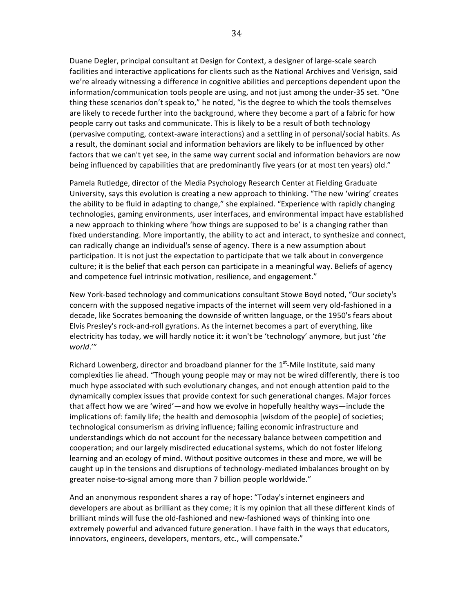Duane Degler, principal consultant at Design for Context, a designer of large-scale search facilities and interactive applications for clients such as the National Archives and Verisign, said we're already witnessing a difference in cognitive abilities and perceptions dependent upon the information/communication tools people are using, and not just among the under-35 set. "One thing these scenarios don't speak to," he noted, "is the degree to which the tools themselves are likely to recede further into the background, where they become a part of a fabric for how people carry out tasks and communicate. This is likely to be a result of both technology (pervasive computing, context-aware interactions) and a settling in of personal/social habits. As a result, the dominant social and information behaviors are likely to be influenced by other factors that we can't yet see, in the same way current social and information behaviors are now being influenced by capabilities that are predominantly five years (or at most ten years) old."

Pamela Rutledge, director of the Media Psychology Research Center at Fielding Graduate University, says this evolution is creating a new approach to thinking. "The new 'wiring' creates the ability to be fluid in adapting to change," she explained. "Experience with rapidly changing technologies, gaming environments, user interfaces, and environmental impact have established a new approach to thinking where 'how things are supposed to be' is a changing rather than fixed understanding. More importantly, the ability to act and interact, to synthesize and connect, can radically change an individual's sense of agency. There is a new assumption about participation. It is not just the expectation to participate that we talk about in convergence culture; it is the belief that each person can participate in a meaningful way. Beliefs of agency and competence fuel intrinsic motivation, resilience, and engagement."

New York-based technology and communications consultant Stowe Boyd noted, "Our society's concern with the supposed negative impacts of the internet will seem very old-fashioned in a decade, like Socrates bemoaning the downside of written language, or the 1950's fears about Elvis Presley's rock-and-roll gyrations. As the internet becomes a part of everything, like electricity has today, we will hardly notice it: it won't be 'technology' anymore, but just 'the world.'"

Richard Lowenberg, director and broadband planner for the  $1<sup>st</sup>$ -Mile Institute, said many complexities lie ahead. "Though young people may or may not be wired differently, there is too much hype associated with such evolutionary changes, and not enough attention paid to the dynamically complex issues that provide context for such generational changes. Major forces that affect how we are 'wired'—and how we evolve in hopefully healthy ways—include the implications of: family life; the health and demosophia [wisdom of the people] of societies; technological consumerism as driving influence; failing economic infrastructure and understandings which do not account for the necessary balance between competition and cooperation; and our largely misdirected educational systems, which do not foster lifelong learning and an ecology of mind. Without positive outcomes in these and more, we will be caught up in the tensions and disruptions of technology-mediated imbalances brought on by greater noise-to-signal among more than 7 billion people worldwide."

And an anonymous respondent shares a ray of hope: "Today's internet engineers and developers are about as brilliant as they come; it is my opinion that all these different kinds of brilliant minds will fuse the old-fashioned and new-fashioned ways of thinking into one extremely powerful and advanced future generation. I have faith in the ways that educators, innovators, engineers, developers, mentors, etc., will compensate."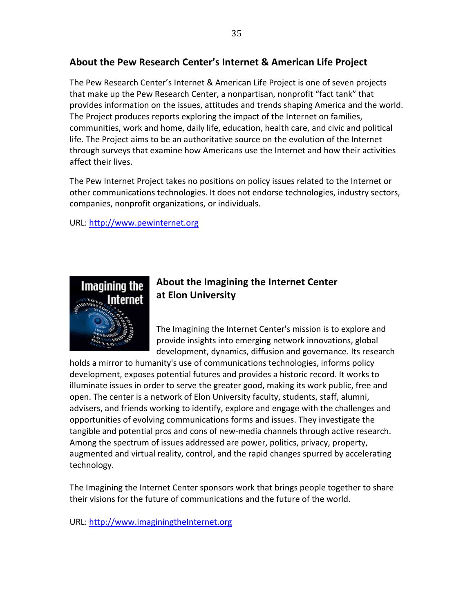### About the Pew Research Center's Internet & American Life Project

The Pew Research Center's Internet & American Life Project is one of seven projects that make up the Pew Research Center, a nonpartisan, nonprofit "fact tank" that provides information on the issues, attitudes and trends shaping America and the world. The Project produces reports exploring the impact of the Internet on families, communities, work and home, daily life, education, health care, and civic and political life. The Project aims to be an authoritative source on the evolution of the Internet through surveys that examine how Americans use the Internet and how their activities affect their lives.

The Pew Internet Project takes no positions on policy issues related to the Internet or other communications technologies. It does not endorse technologies, industry sectors, companies, nonprofit organizations, or individuals.

URL: http://www.pewinternet.org



## About the Imagining the Internet Center **at!Elon!University**

The Imagining the Internet Center's mission is to explore and provide insights into emerging network innovations, global development, dynamics, diffusion and governance. Its research

holds a mirror to humanity's use of communications technologies, informs policy development, exposes potential futures and provides a historic record. It works to illuminate issues in order to serve the greater good, making its work public, free and open. The center is a network of Elon University faculty, students, staff, alumni, advisers, and friends working to identify, explore and engage with the challenges and opportunities of evolving communications forms and issues. They investigate the tangible and potential pros and cons of new-media channels through active research. Among the spectrum of issues addressed are power, politics, privacy, property, augmented and virtual reality, control, and the rapid changes spurred by accelerating technology.

The Imagining the Internet Center sponsors work that brings people together to share their visions for the future of communications and the future of the world.

URL: http://www.imaginingtheInternet.org